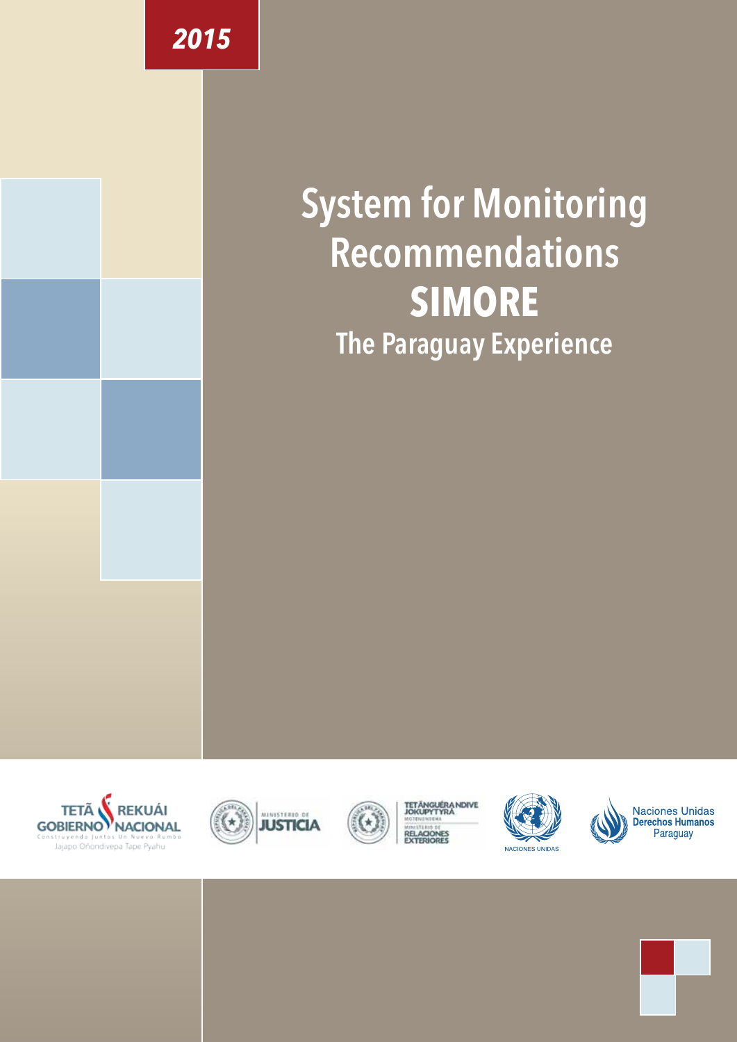

# **The Paraguay Experience SIMORE System for Monitoring Recommendations**















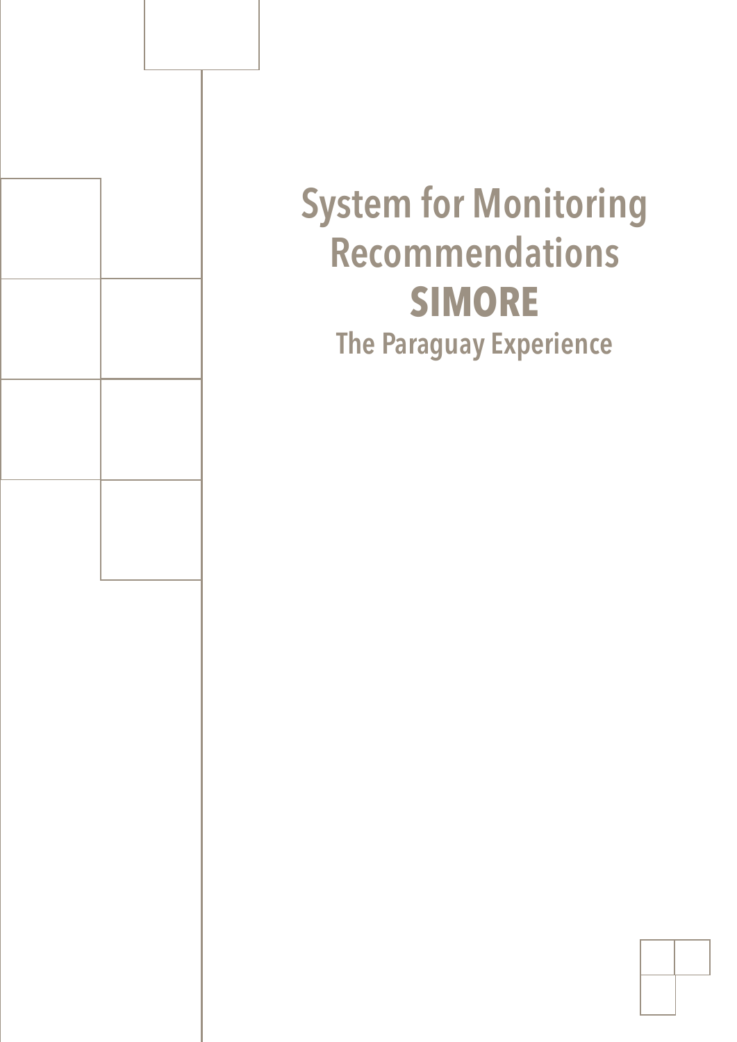

# **The Paraguay Experience SIMORE System for Monitoring Recommendations**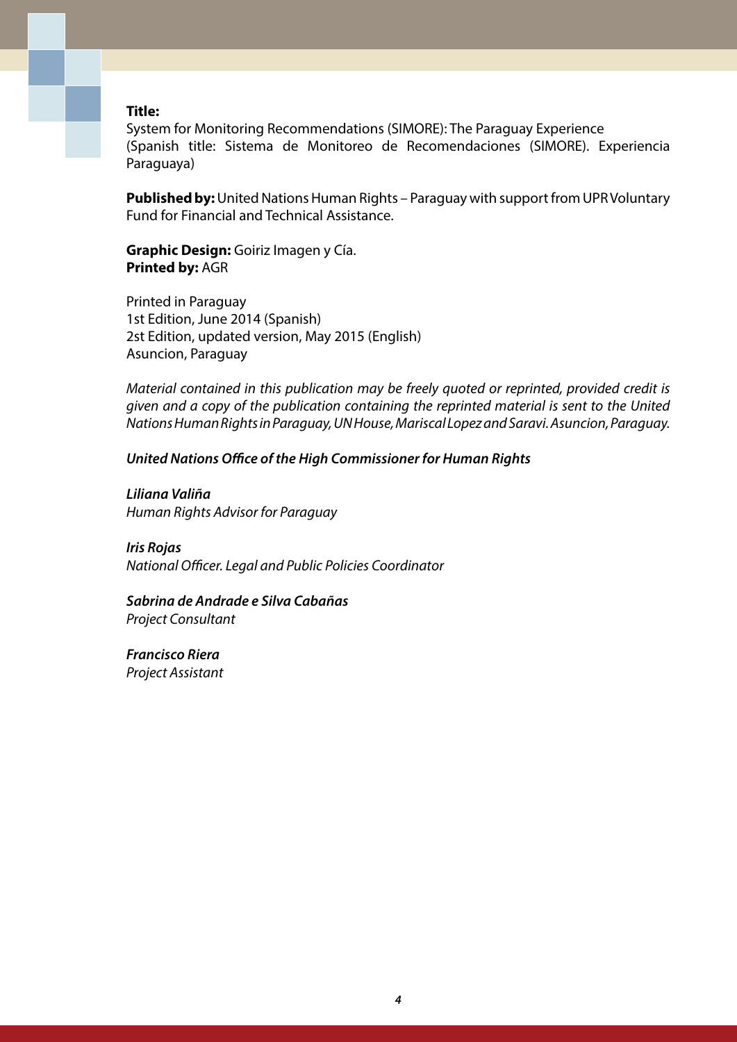#### **Title:**

System for Monitoring Recommendations (SIMORE): The Paraguay Experience (Spanish title: Sistema de Monitoreo de Recomendaciones (SIMORE). Experiencia Paraguaya)

**Published by:** United Nations Human Rights – Paraguay with support from UPR Voluntary Fund for Financial and Technical Assistance.

**Graphic Design:** Goiriz Imagen y Cía. **Printed by:** AGR

Printed in Paraguay 1st Edition, June 2014 (Spanish) 2st Edition, updated version, May 2015 (English) Asuncion, Paraguay

*Material contained in this publication may be freely quoted or reprinted, provided credit is given and a copy of the publication containing the reprinted material is sent to the United Nations Human Rights in Paraguay, UN House, Mariscal Lopez and Saravi. Asuncion, Paraguay.*

#### *United Nations Office of the High Commissioner for Human Rights*

*Liliana Valiña Human Rights Advisor for Paraguay*

*Iris Rojas National Officer. Legal and Public Policies Coordinator*

*Sabrina de Andrade e Silva Cabañas Project Consultant*

*Francisco Riera Project Assistant*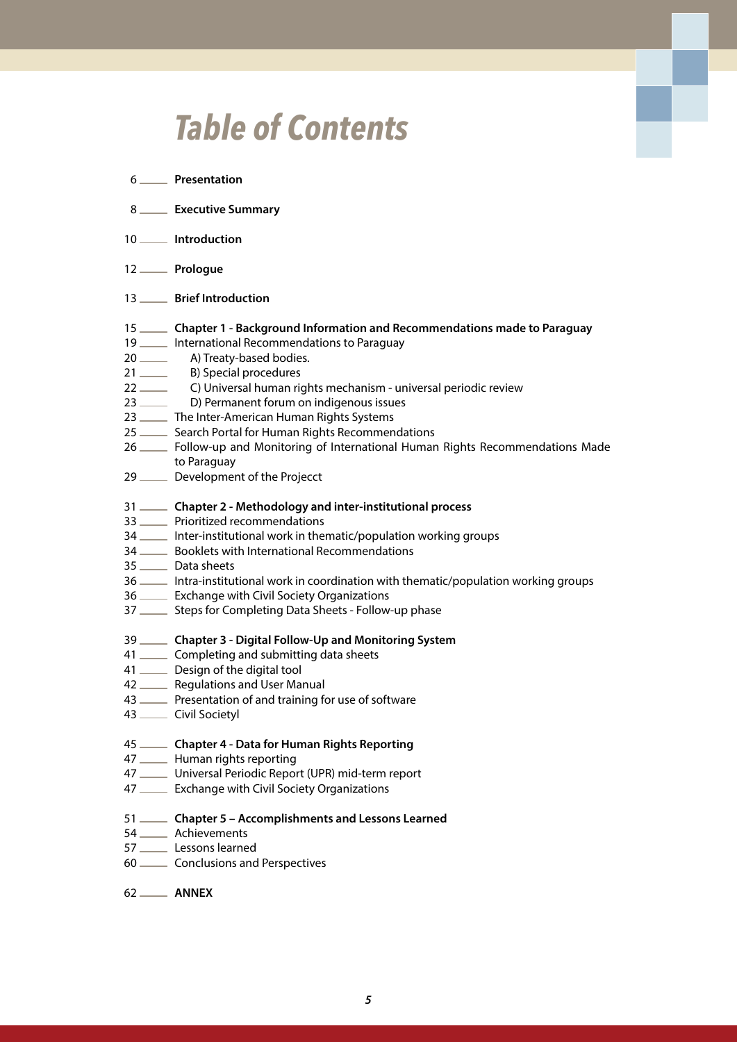# *Table of Contents*

- **Presentation** 6
- **Executive Summary** 8
- 10 \_\_\_\_\_ Introduction
- 12 \_\_\_\_ Prologue
- 13 \_\_\_\_\_ Brief Introduction
- **Chapter 1 Background Information and Recommendations made to Paraguay** 15
- 19 \_\_\_\_\_ International Recommendations to Paraguay
- A) Treaty-based bodies. 20
- B) Special procedures  $21$ <sub>——</sub>
- C) Universal human rights mechanism universal periodic review 22
- D) Permanent forum on indigenous issues  $23$  —
- 23 \_\_\_\_\_ The Inter-American Human Rights Systems
- 25 \_\_\_\_\_\_ Search Portal for Human Rights Recommendations
- Follow-up and Monitoring of International Human Rights Recommendations Made 26 to Paraguay
- 29 \_\_\_\_\_ Development of the Projecct
- **Chapter 2 Methodology and inter-institutional process** 31
- Prioritized recommendations 33
- 34 \_\_\_\_\_ Inter-institutional work in thematic/population working groups
- Booklets with International Recommendations 34
- 35 \_\_\_\_\_ Data sheets
- Intra-institutional work in coordination with thematic/population working groups 36
- Exchange with Civil Society Organizations 36
- 37 \_\_\_\_\_ Steps for Completing Data Sheets Follow-up phase

#### **Chapter 3 - Digital Follow-Up and Monitoring System** 39

- Completing and submitting data sheets 41
- Design of the digital tool 41
- 42 \_\_\_\_\_ Regulations and User Manual
- 43 \_\_\_\_\_ Presentation of and training for use of software
- 43 \_\_\_\_\_ Civil Societyl

#### **Chapter 4 - Data for Human Rights Reporting** 45

- 47 \_\_\_\_\_ Human rights reporting
- Universal Periodic Report (UPR) mid-term report 47
- 47 \_\_\_\_\_ Exchange with Civil Society Organizations

#### **Chapter 5 – Accomplishments and Lessons Learned** 51

- Achievements 54
- Lessons learned 57
- Conclusions and Perspectives 60
- **ANNEX** 62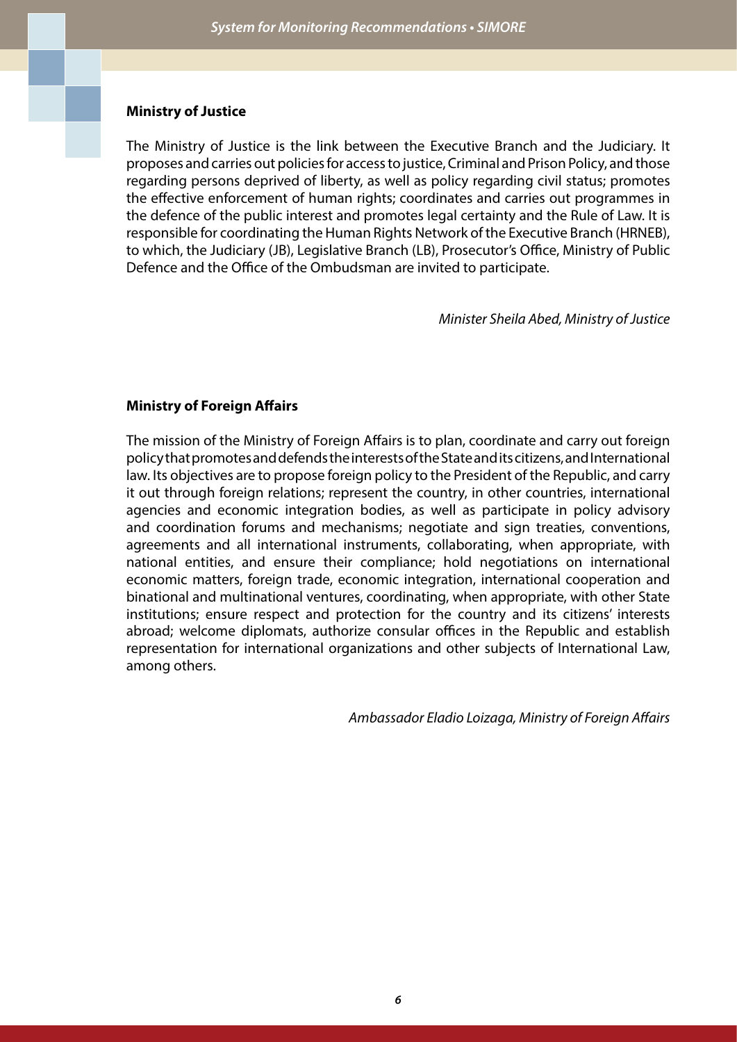#### **Ministry of Justice**

The Ministry of Justice is the link between the Executive Branch and the Judiciary. It proposes and carries out policies for access to justice, Criminal and Prison Policy, and those regarding persons deprived of liberty, as well as policy regarding civil status; promotes the effective enforcement of human rights; coordinates and carries out programmes in the defence of the public interest and promotes legal certainty and the Rule of Law. It is responsible for coordinating the Human Rights Network of the Executive Branch (HRNEB), to which, the Judiciary (JB), Legislative Branch (LB), Prosecutor's Office, Ministry of Public Defence and the Office of the Ombudsman are invited to participate.

 *Minister Sheila Abed, Ministry of Justice* 

#### **Ministry of Foreign Affairs**

The mission of the Ministry of Foreign Affairs is to plan, coordinate and carry out foreign policy that promotes and defends the interests of the State and its citizens, and International law. Its objectives are to propose foreign policy to the President of the Republic, and carry it out through foreign relations; represent the country, in other countries, international agencies and economic integration bodies, as well as participate in policy advisory and coordination forums and mechanisms; negotiate and sign treaties, conventions, agreements and all international instruments, collaborating, when appropriate, with national entities, and ensure their compliance; hold negotiations on international economic matters, foreign trade, economic integration, international cooperation and binational and multinational ventures, coordinating, when appropriate, with other State institutions; ensure respect and protection for the country and its citizens' interests abroad; welcome diplomats, authorize consular offices in the Republic and establish representation for international organizations and other subjects of International Law, among others.

*Ambassador Eladio Loizaga, Ministry of Foreign Affairs*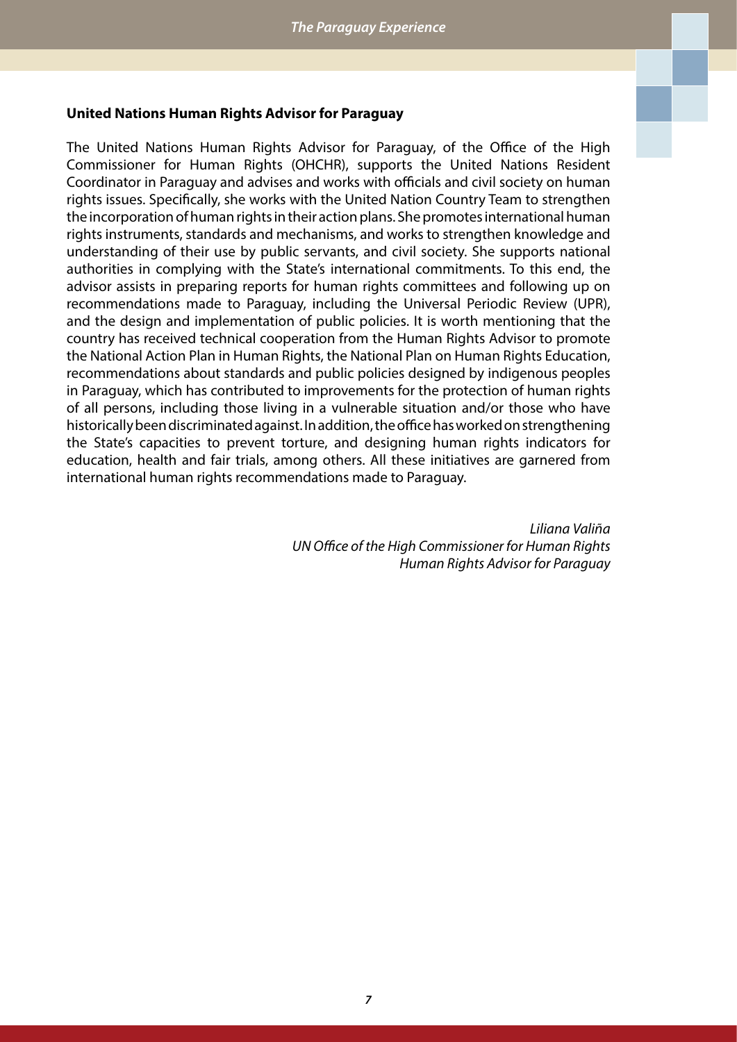#### **United Nations Human Rights Advisor for Paraguay**

The United Nations Human Rights Advisor for Paraguay, of the Office of the High Commissioner for Human Rights (OHCHR), supports the United Nations Resident Coordinator in Paraguay and advises and works with officials and civil society on human rights issues. Specifically, she works with the United Nation Country Team to strengthen the incorporation of human rights in their action plans. She promotes international human rights instruments, standards and mechanisms, and works to strengthen knowledge and understanding of their use by public servants, and civil society. She supports national authorities in complying with the State's international commitments. To this end, the advisor assists in preparing reports for human rights committees and following up on recommendations made to Paraguay, including the Universal Periodic Review (UPR), and the design and implementation of public policies. It is worth mentioning that the country has received technical cooperation from the Human Rights Advisor to promote the National Action Plan in Human Rights, the National Plan on Human Rights Education, recommendations about standards and public policies designed by indigenous peoples in Paraguay, which has contributed to improvements for the protection of human rights of all persons, including those living in a vulnerable situation and/or those who have historically been discriminated against. In addition, the office has worked on strengthening the State's capacities to prevent torture, and designing human rights indicators for education, health and fair trials, among others. All these initiatives are garnered from international human rights recommendations made to Paraguay.

> *Liliana Valiña UN Office of the High Commissioner for Human Rights Human Rights Advisor for Paraguay*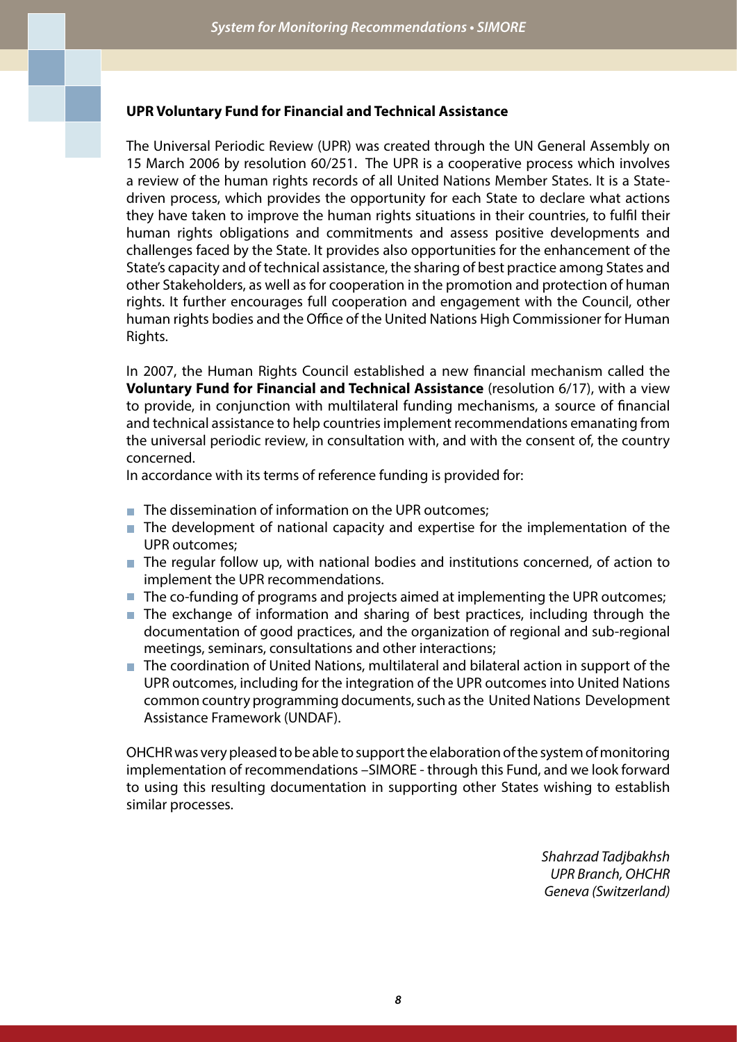#### **UPR Voluntary Fund for Financial and Technical Assistance**

The Universal Periodic Review (UPR) was created through the UN General Assembly on 15 March 2006 by resolution 60/251. The UPR is a cooperative process which involves a review of the human rights records of all United Nations Member States. It is a Statedriven process, which provides the opportunity for each State to declare what actions they have taken to improve the human rights situations in their countries, to fulfil their human rights obligations and commitments and assess positive developments and challenges faced by the State. It provides also opportunities for the enhancement of the State's capacity and of technical assistance, the sharing of best practice among States and other Stakeholders, as well as for cooperation in the promotion and protection of human rights. It further encourages full cooperation and engagement with the Council, other human rights bodies and the Office of the United Nations High Commissioner for Human Rights.

In 2007, the Human Rights Council established a new financial mechanism called the **Voluntary Fund for Financial and Technical Assistance** (resolution 6/17), with a view to provide, in conjunction with multilateral funding mechanisms, a source of financial and technical assistance to help countries implement recommendations emanating from the universal periodic review, in consultation with, and with the consent of, the country concerned.

In accordance with its terms of reference funding is provided for:

- The dissemination of information on the UPR outcomes:
- $\blacksquare$  The development of national capacity and expertise for the implementation of the UPR outcomes;
- $\blacksquare$  The regular follow up, with national bodies and institutions concerned, of action to implement the UPR recommendations.
- $\blacksquare$  The co-funding of programs and projects aimed at implementing the UPR outcomes;
- The exchange of information and sharing of best practices, including through the documentation of good practices, and the organization of regional and sub-regional meetings, seminars, consultations and other interactions;
- The coordination of United Nations, multilateral and bilateral action in support of the UPR outcomes, including for the integration of the UPR outcomes into United Nations common country programming documents, such as the United Nations Development Assistance Framework (UNDAF).

OHCHR was very pleased to be able to support the elaboration of the system of monitoring implementation of recommendations –SIMORE - through this Fund, and we look forward to using this resulting documentation in supporting other States wishing to establish similar processes.

> *Shahrzad Tadjbakhsh UPR Branch, OHCHR Geneva (Switzerland)*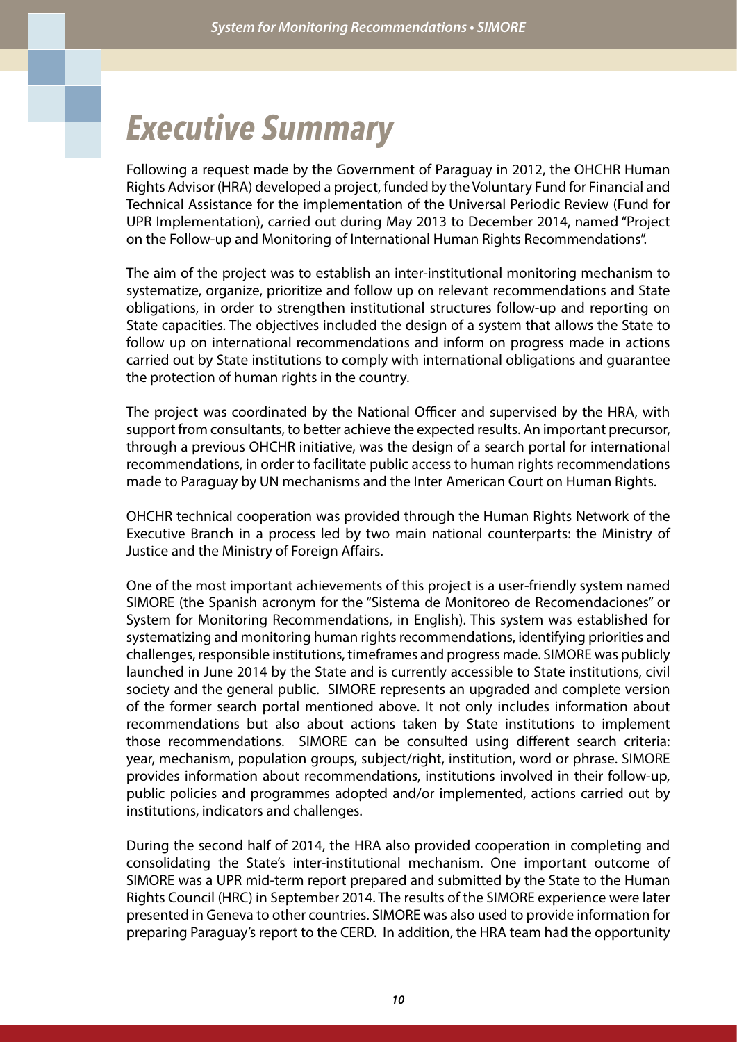# *Executive Summary*

Following a request made by the Government of Paraguay in 2012, the OHCHR Human Rights Advisor (HRA) developed a project, funded by the Voluntary Fund for Financial and Technical Assistance for the implementation of the Universal Periodic Review (Fund for UPR Implementation), carried out during May 2013 to December 2014, named "Project on the Follow-up and Monitoring of International Human Rights Recommendations".

The aim of the project was to establish an inter-institutional monitoring mechanism to systematize, organize, prioritize and follow up on relevant recommendations and State obligations, in order to strengthen institutional structures follow-up and reporting on State capacities. The objectives included the design of a system that allows the State to follow up on international recommendations and inform on progress made in actions carried out by State institutions to comply with international obligations and guarantee the protection of human rights in the country.

The project was coordinated by the National Officer and supervised by the HRA, with support from consultants, to better achieve the expected results. An important precursor, through a previous OHCHR initiative, was the design of a search portal for international recommendations, in order to facilitate public access to human rights recommendations made to Paraguay by UN mechanisms and the Inter American Court on Human Rights.

OHCHR technical cooperation was provided through the Human Rights Network of the Executive Branch in a process led by two main national counterparts: the Ministry of Justice and the Ministry of Foreign Affairs.

One of the most important achievements of this project is a user-friendly system named SIMORE (the Spanish acronym for the "Sistema de Monitoreo de Recomendaciones" or System for Monitoring Recommendations, in English). This system was established for systematizing and monitoring human rights recommendations, identifying priorities and challenges, responsible institutions, timeframes and progress made. SIMORE was publicly launched in June 2014 by the State and is currently accessible to State institutions, civil society and the general public. SIMORE represents an upgraded and complete version of the former search portal mentioned above. It not only includes information about recommendations but also about actions taken by State institutions to implement those recommendations. SIMORE can be consulted using different search criteria: year, mechanism, population groups, subject/right, institution, word or phrase. SIMORE provides information about recommendations, institutions involved in their follow-up, public policies and programmes adopted and/or implemented, actions carried out by institutions, indicators and challenges.

During the second half of 2014, the HRA also provided cooperation in completing and consolidating the State's inter-institutional mechanism. One important outcome of SIMORE was a UPR mid-term report prepared and submitted by the State to the Human Rights Council (HRC) in September 2014. The results of the SIMORE experience were later presented in Geneva to other countries. SIMORE was also used to provide information for preparing Paraguay's report to the CERD. In addition, the HRA team had the opportunity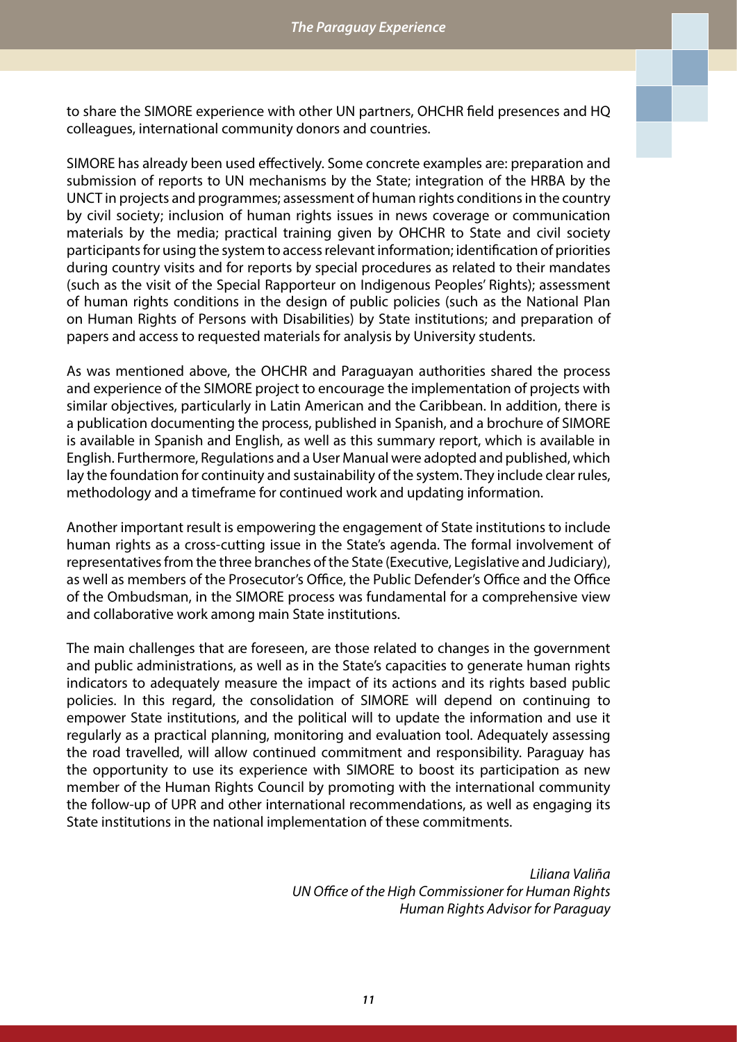to share the SIMORE experience with other UN partners, OHCHR field presences and HQ colleagues, international community donors and countries.

SIMORE has already been used effectively. Some concrete examples are: preparation and submission of reports to UN mechanisms by the State; integration of the HRBA by the UNCT in projects and programmes; assessment of human rights conditions in the country by civil society; inclusion of human rights issues in news coverage or communication materials by the media; practical training given by OHCHR to State and civil society participants for using the system to access relevant information; identification of priorities during country visits and for reports by special procedures as related to their mandates (such as the visit of the Special Rapporteur on Indigenous Peoples' Rights); assessment of human rights conditions in the design of public policies (such as the National Plan on Human Rights of Persons with Disabilities) by State institutions; and preparation of papers and access to requested materials for analysis by University students.

As was mentioned above, the OHCHR and Paraguayan authorities shared the process and experience of the SIMORE project to encourage the implementation of projects with similar objectives, particularly in Latin American and the Caribbean. In addition, there is a publication documenting the process, published in Spanish, and a brochure of SIMORE is available in Spanish and English, as well as this summary report, which is available in English. Furthermore, Regulations and a User Manual were adopted and published, which lay the foundation for continuity and sustainability of the system. They include clear rules, methodology and a timeframe for continued work and updating information.

Another important result is empowering the engagement of State institutions to include human rights as a cross-cutting issue in the State's agenda. The formal involvement of representatives from the three branches of the State (Executive, Legislative and Judiciary), as well as members of the Prosecutor's Office, the Public Defender's Office and the Office of the Ombudsman, in the SIMORE process was fundamental for a comprehensive view and collaborative work among main State institutions.

The main challenges that are foreseen, are those related to changes in the government and public administrations, as well as in the State's capacities to generate human rights indicators to adequately measure the impact of its actions and its rights based public policies. In this regard, the consolidation of SIMORE will depend on continuing to empower State institutions, and the political will to update the information and use it regularly as a practical planning, monitoring and evaluation tool. Adequately assessing the road travelled, will allow continued commitment and responsibility. Paraguay has the opportunity to use its experience with SIMORE to boost its participation as new member of the Human Rights Council by promoting with the international community the follow-up of UPR and other international recommendations, as well as engaging its State institutions in the national implementation of these commitments.

> *Liliana Valiña UN Office of the High Commissioner for Human Rights Human Rights Advisor for Paraguay*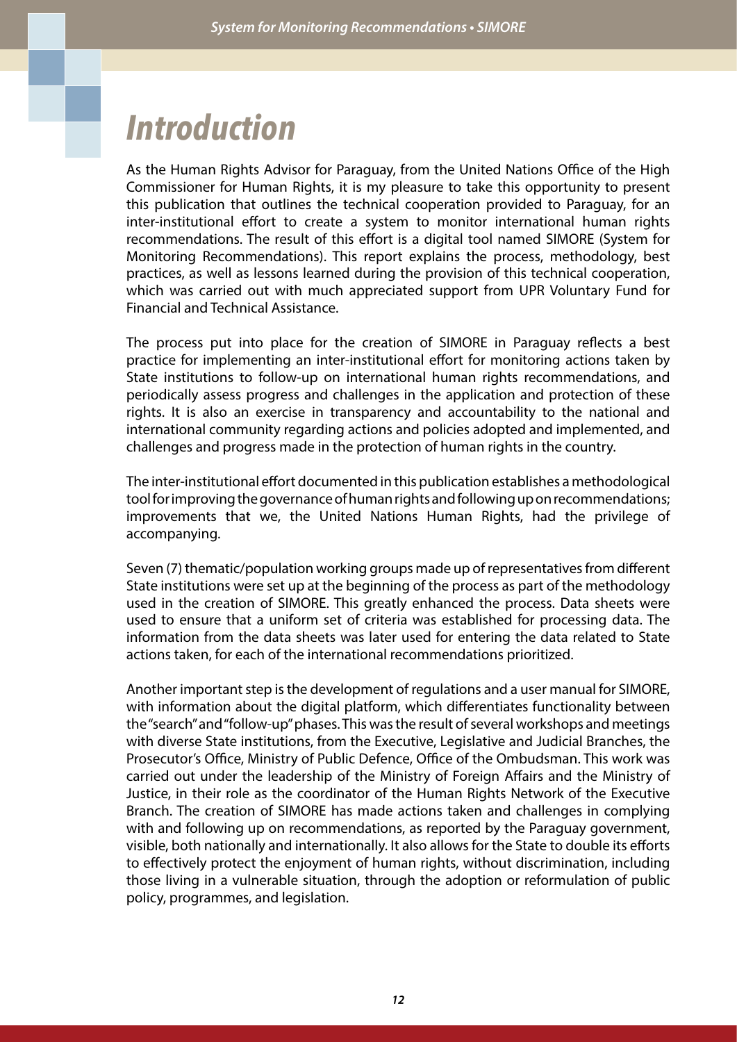## *Introduction*

As the Human Rights Advisor for Paraguay, from the United Nations Office of the High Commissioner for Human Rights, it is my pleasure to take this opportunity to present this publication that outlines the technical cooperation provided to Paraguay, for an inter-institutional effort to create a system to monitor international human rights recommendations. The result of this effort is a digital tool named SIMORE (System for Monitoring Recommendations). This report explains the process, methodology, best practices, as well as lessons learned during the provision of this technical cooperation, which was carried out with much appreciated support from UPR Voluntary Fund for Financial and Technical Assistance.

The process put into place for the creation of SIMORE in Paraguay reflects a best practice for implementing an inter-institutional effort for monitoring actions taken by State institutions to follow-up on international human rights recommendations, and periodically assess progress and challenges in the application and protection of these rights. It is also an exercise in transparency and accountability to the national and international community regarding actions and policies adopted and implemented, and challenges and progress made in the protection of human rights in the country.

The inter-institutional effort documented in this publication establishes a methodological tool for improving the governance of human rights and following up on recommendations; improvements that we, the United Nations Human Rights, had the privilege of accompanying.

Seven (7) thematic/population working groups made up of representatives from different State institutions were set up at the beginning of the process as part of the methodology used in the creation of SIMORE. This greatly enhanced the process. Data sheets were used to ensure that a uniform set of criteria was established for processing data. The information from the data sheets was later used for entering the data related to State actions taken, for each of the international recommendations prioritized.

Another important step is the development of regulations and a user manual for SIMORE, with information about the digital platform, which differentiates functionality between the "search" and "follow-up" phases. This was the result of several workshops and meetings with diverse State institutions, from the Executive, Legislative and Judicial Branches, the Prosecutor's Office, Ministry of Public Defence, Office of the Ombudsman. This work was carried out under the leadership of the Ministry of Foreign Affairs and the Ministry of Justice, in their role as the coordinator of the Human Rights Network of the Executive Branch. The creation of SIMORE has made actions taken and challenges in complying with and following up on recommendations, as reported by the Paraguay government, visible, both nationally and internationally. It also allows for the State to double its efforts to effectively protect the enjoyment of human rights, without discrimination, including those living in a vulnerable situation, through the adoption or reformulation of public policy, programmes, and legislation.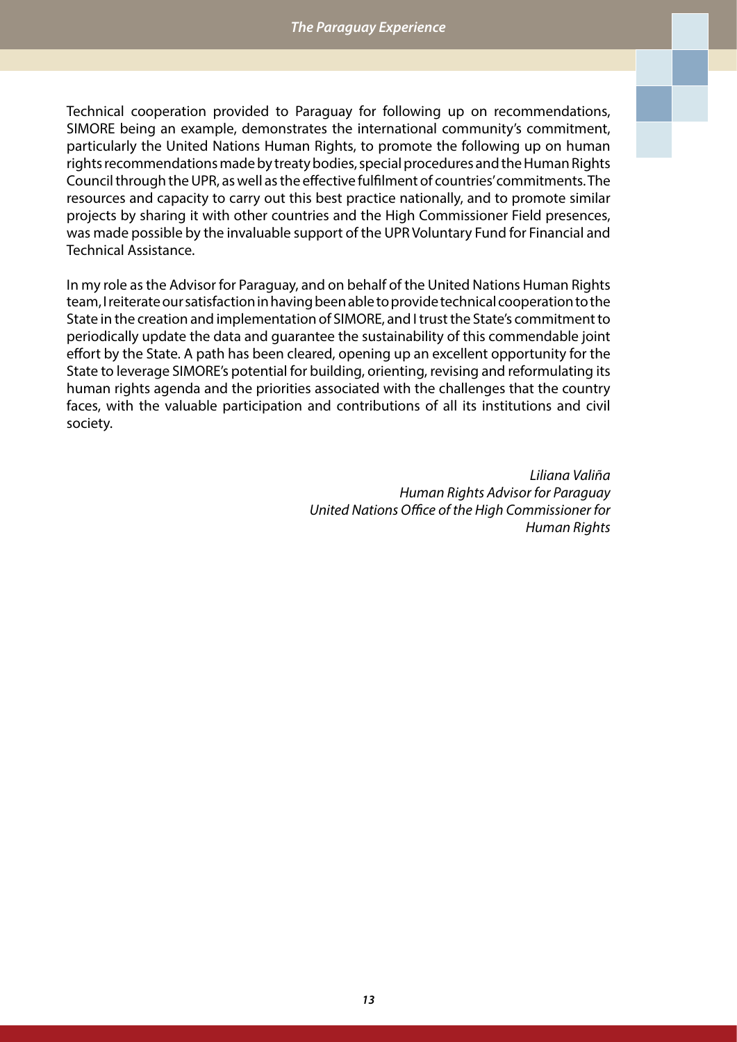Technical cooperation provided to Paraguay for following up on recommendations, SIMORE being an example, demonstrates the international community's commitment, particularly the United Nations Human Rights, to promote the following up on human rights recommendations made by treaty bodies, special procedures and the Human Rights Council through the UPR, as well as the effective fulfilment of countries' commitments. The resources and capacity to carry out this best practice nationally, and to promote similar projects by sharing it with other countries and the High Commissioner Field presences, was made possible by the invaluable support of the UPR Voluntary Fund for Financial and Technical Assistance.

In my role as the Advisor for Paraguay, and on behalf of the United Nations Human Rights team, I reiterate our satisfaction in having been able to provide technical cooperation to the State in the creation and implementation of SIMORE, and I trust the State's commitment to periodically update the data and guarantee the sustainability of this commendable joint effort by the State. A path has been cleared, opening up an excellent opportunity for the State to leverage SIMORE's potential for building, orienting, revising and reformulating its human rights agenda and the priorities associated with the challenges that the country faces, with the valuable participation and contributions of all its institutions and civil society.

> *Liliana Valiña Human Rights Advisor for Paraguay United Nations Office of the High Commissioner for Human Rights*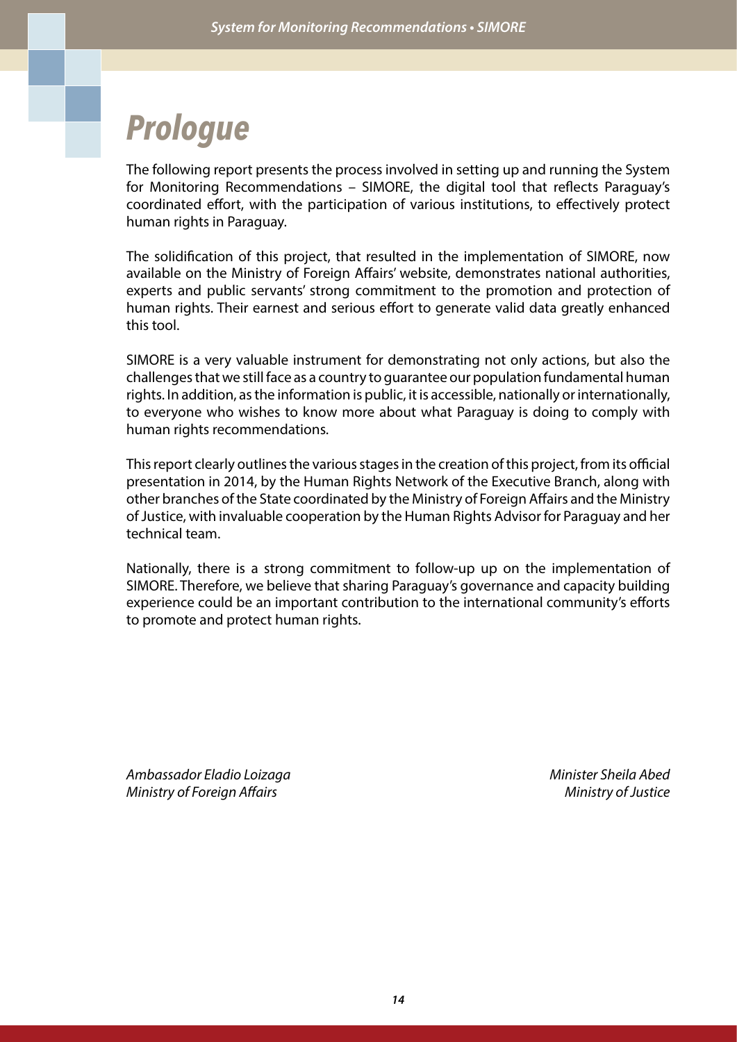# *Prologue*

The following report presents the process involved in setting up and running the System for Monitoring Recommendations – SIMORE, the digital tool that reflects Paraguay's coordinated effort, with the participation of various institutions, to effectively protect human rights in Paraguay.

The solidification of this project, that resulted in the implementation of SIMORE, now available on the Ministry of Foreign Affairs' website, demonstrates national authorities, experts and public servants' strong commitment to the promotion and protection of human rights. Their earnest and serious effort to generate valid data greatly enhanced this tool.

SIMORE is a very valuable instrument for demonstrating not only actions, but also the challenges that we still face as a country to guarantee our population fundamental human rights. In addition, as the information is public, it is accessible, nationally or internationally, to everyone who wishes to know more about what Paraguay is doing to comply with human rights recommendations.

This report clearly outlines the various stages in the creation of this project, from its official presentation in 2014, by the Human Rights Network of the Executive Branch, along with other branches of the State coordinated by the Ministry of Foreign Affairs and the Ministry of Justice, with invaluable cooperation by the Human Rights Advisor for Paraguay and her technical team.

Nationally, there is a strong commitment to follow-up up on the implementation of SIMORE. Therefore, we believe that sharing Paraguay's governance and capacity building experience could be an important contribution to the international community's efforts to promote and protect human rights.

*Ambassador Eladio Loizaga Ministry of Foreign Affairs*

*Minister Sheila Abed Ministry of Justice*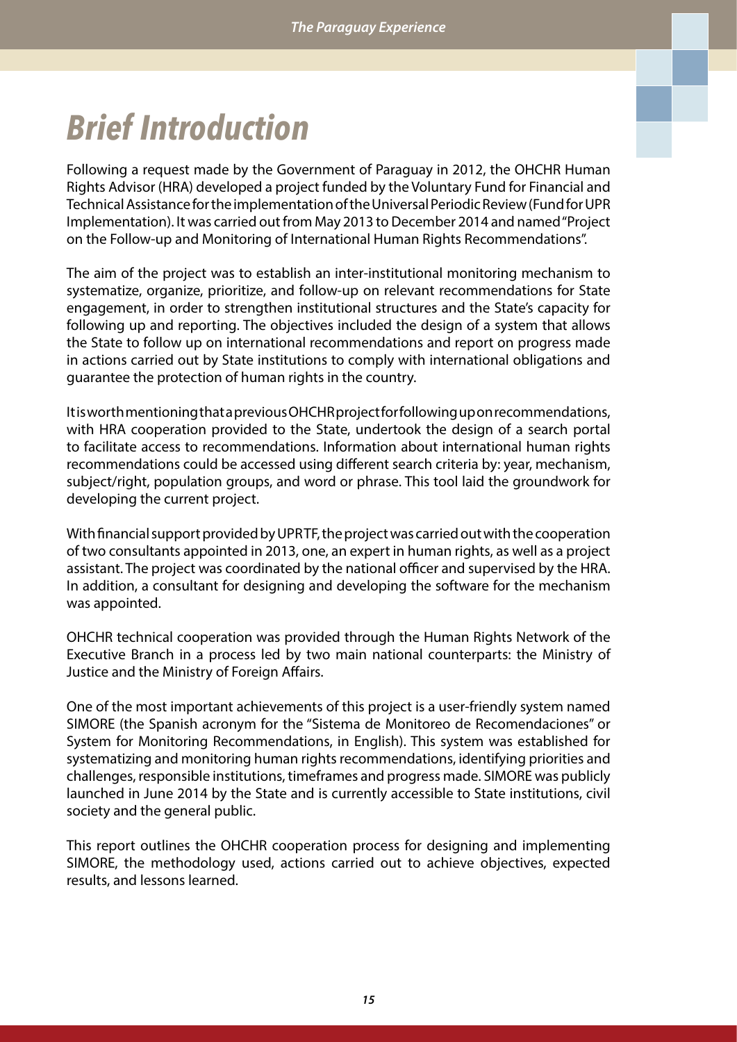# *Brief Introduction*

Following a request made by the Government of Paraguay in 2012, the OHCHR Human Rights Advisor (HRA) developed a project funded by the Voluntary Fund for Financial and Technical Assistance for the implementation of the Universal Periodic Review (Fund for UPR Implementation). It was carried out from May 2013 to December 2014 and named "Project on the Follow-up and Monitoring of International Human Rights Recommendations".

The aim of the project was to establish an inter-institutional monitoring mechanism to systematize, organize, prioritize, and follow-up on relevant recommendations for State engagement, in order to strengthen institutional structures and the State's capacity for following up and reporting. The objectives included the design of a system that allows the State to follow up on international recommendations and report on progress made in actions carried out by State institutions to comply with international obligations and guarantee the protection of human rights in the country.

It is worth mentioning that a previous OHCHR project for following up on recommendations, with HRA cooperation provided to the State, undertook the design of a search portal to facilitate access to recommendations. Information about international human rights recommendations could be accessed using different search criteria by: year, mechanism, subject/right, population groups, and word or phrase. This tool laid the groundwork for developing the current project.

With financial support provided by UPR TF, the project was carried out with the cooperation of two consultants appointed in 2013, one, an expert in human rights, as well as a project assistant. The project was coordinated by the national officer and supervised by the HRA. In addition, a consultant for designing and developing the software for the mechanism was appointed.

OHCHR technical cooperation was provided through the Human Rights Network of the Executive Branch in a process led by two main national counterparts: the Ministry of Justice and the Ministry of Foreign Affairs.

One of the most important achievements of this project is a user-friendly system named SIMORE (the Spanish acronym for the "Sistema de Monitoreo de Recomendaciones" or System for Monitoring Recommendations, in English). This system was established for systematizing and monitoring human rights recommendations, identifying priorities and challenges, responsible institutions, timeframes and progress made. SIMORE was publicly launched in June 2014 by the State and is currently accessible to State institutions, civil society and the general public.

This report outlines the OHCHR cooperation process for designing and implementing SIMORE, the methodology used, actions carried out to achieve objectives, expected results, and lessons learned.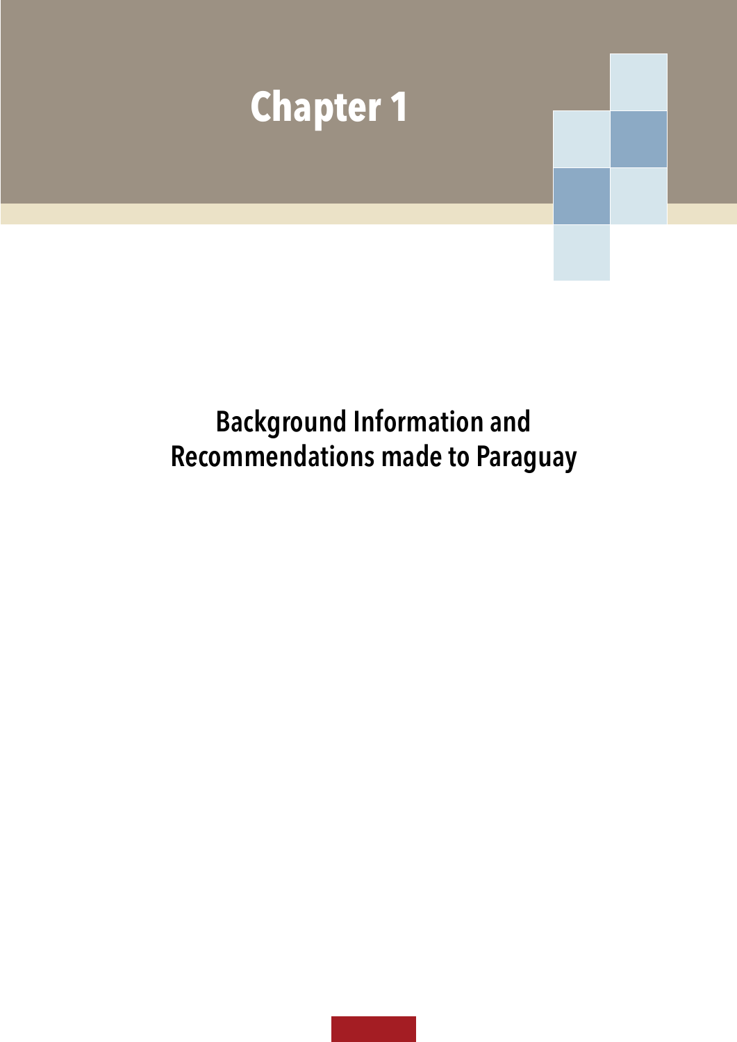

## **Background Information and Recommendations made to Paraguay**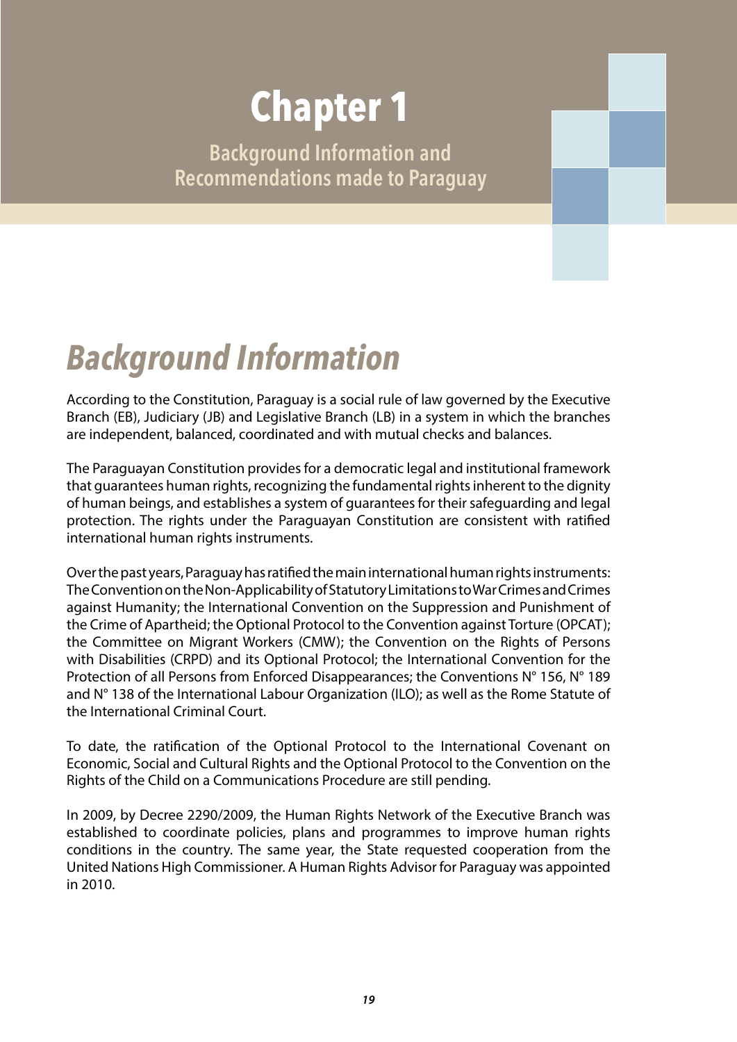**Background Information and Recommendations made to Paraguay**

# *Background Information*

According to the Constitution, Paraguay is a social rule of law governed by the Executive Branch (EB), Judiciary (JB) and Legislative Branch (LB) in a system in which the branches are independent, balanced, coordinated and with mutual checks and balances.

The Paraguayan Constitution provides for a democratic legal and institutional framework that guarantees human rights, recognizing the fundamental rights inherent to the dignity of human beings, and establishes a system of guarantees for their safeguarding and legal protection. The rights under the Paraguayan Constitution are consistent with ratified international human rights instruments.

Over the past years, Paraguay has ratified the main international human rights instruments: The Convention on the Non-Applicability of Statutory Limitations to War Crimes and Crimes against Humanity; the International Convention on the Suppression and Punishment of the Crime of Apartheid; the Optional Protocol to the Convention against Torture (OPCAT); the Committee on Migrant Workers (CMW); the Convention on the Rights of Persons with Disabilities (CRPD) and its Optional Protocol; the International Convention for the Protection of all Persons from Enforced Disappearances; the Conventions N° 156, N° 189 and N° 138 of the International Labour Organization (ILO); as well as the Rome Statute of the International Criminal Court.

To date, the ratification of the Optional Protocol to the International Covenant on Economic, Social and Cultural Rights and the Optional Protocol to the Convention on the Rights of the Child on a Communications Procedure are still pending.

In 2009, by Decree 2290/2009, the Human Rights Network of the Executive Branch was established to coordinate policies, plans and programmes to improve human rights conditions in the country. The same year, the State requested cooperation from the United Nations High Commissioner. A Human Rights Advisor for Paraguay was appointed in 2010.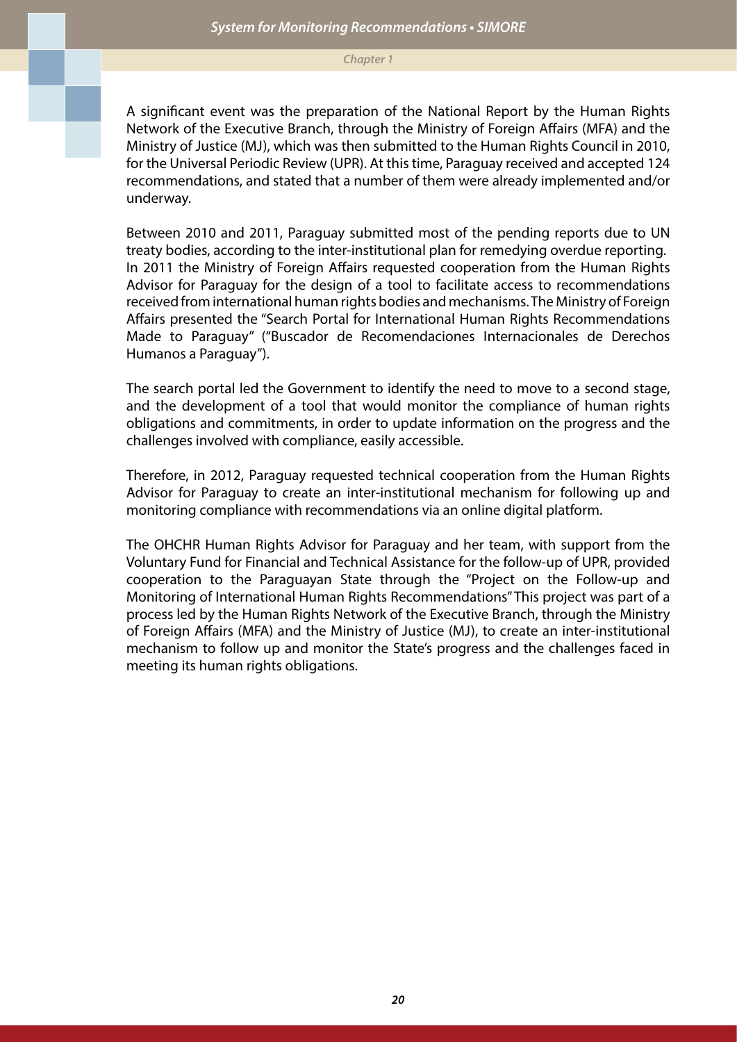A significant event was the preparation of the National Report by the Human Rights Network of the Executive Branch, through the Ministry of Foreign Affairs (MFA) and the Ministry of Justice (MJ), which was then submitted to the Human Rights Council in 2010, for the Universal Periodic Review (UPR). At this time, Paraguay received and accepted 124 recommendations, and stated that a number of them were already implemented and/or underway.

Between 2010 and 2011, Paraguay submitted most of the pending reports due to UN treaty bodies, according to the inter-institutional plan for remedying overdue reporting. In 2011 the Ministry of Foreign Affairs requested cooperation from the Human Rights Advisor for Paraguay for the design of a tool to facilitate access to recommendations received from international human rights bodies and mechanisms. The Ministry of Foreign Affairs presented the "Search Portal for International Human Rights Recommendations Made to Paraguay" ("Buscador de Recomendaciones Internacionales de Derechos Humanos a Paraguay").

The search portal led the Government to identify the need to move to a second stage, and the development of a tool that would monitor the compliance of human rights obligations and commitments, in order to update information on the progress and the challenges involved with compliance, easily accessible.

Therefore, in 2012, Paraguay requested technical cooperation from the Human Rights Advisor for Paraguay to create an inter-institutional mechanism for following up and monitoring compliance with recommendations via an online digital platform.

The OHCHR Human Rights Advisor for Paraguay and her team, with support from the Voluntary Fund for Financial and Technical Assistance for the follow-up of UPR, provided cooperation to the Paraguayan State through the "Project on the Follow-up and Monitoring of International Human Rights Recommendations" This project was part of a process led by the Human Rights Network of the Executive Branch, through the Ministry of Foreign Affairs (MFA) and the Ministry of Justice (MJ), to create an inter-institutional mechanism to follow up and monitor the State's progress and the challenges faced in meeting its human rights obligations.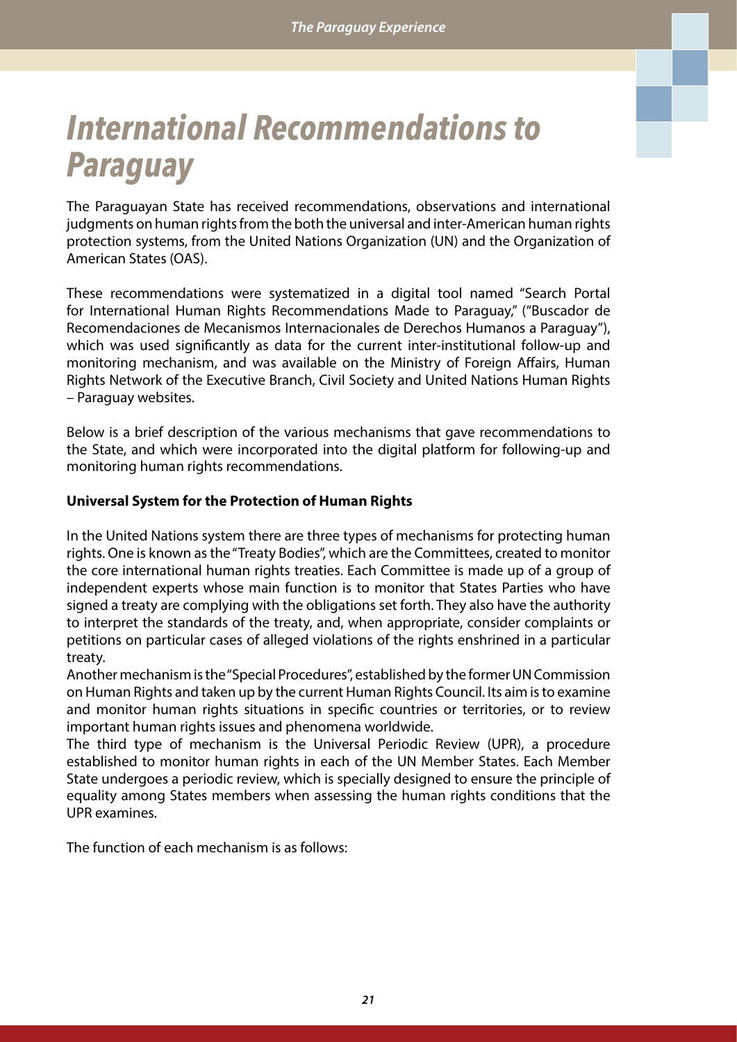# *International Recommendations to Paraguay*

The Paraguayan State has received recommendations, observations and international judgments on human rights from the both the universal and inter-American human rights protection systems, from the United Nations Organization (UN) and the Organization of American States (OAS).

These recommendations were systematized in a digital tool named "Search Portal for International Human Rights Recommendations Made to Paraguay," ("Buscador de Recomendaciones de Mecanismos Internacionales de Derechos Humanos a Paraguay"), which was used significantly as data for the current inter-institutional follow-up and monitoring mechanism, and was available on the Ministry of Foreign Affairs, Human Rights Network of the Executive Branch, Civil Society and United Nations Human Rights – Paraguay websites.

Below is a brief description of the various mechanisms that gave recommendations to the State, and which were incorporated into the digital platform for following-up and monitoring human rights recommendations.

#### **Universal System for the Protection of Human Rights**

In the United Nations system there are three types of mechanisms for protecting human rights. One is known as the "Treaty Bodies", which are the Committees, created to monitor the core international human rights treaties. Each Committee is made up of a group of independent experts whose main function is to monitor that States Parties who have signed a treaty are complying with the obligations set forth. They also have the authority to interpret the standards of the treaty, and, when appropriate, consider complaints or petitions on particular cases of alleged violations of the rights enshrined in a particular treaty.

Another mechanism is the "Special Procedures", established by the former UN Commission on Human Rights and taken up by the current Human Rights Council. Its aim is to examine and monitor human rights situations in specific countries or territories, or to review important human rights issues and phenomena worldwide.

The third type of mechanism is the Universal Periodic Review (UPR), a procedure established to monitor human rights in each of the UN Member States. Each Member State undergoes a periodic review, which is specially designed to ensure the principle of equality among States members when assessing the human rights conditions that the UPR examines.

The function of each mechanism is as follows: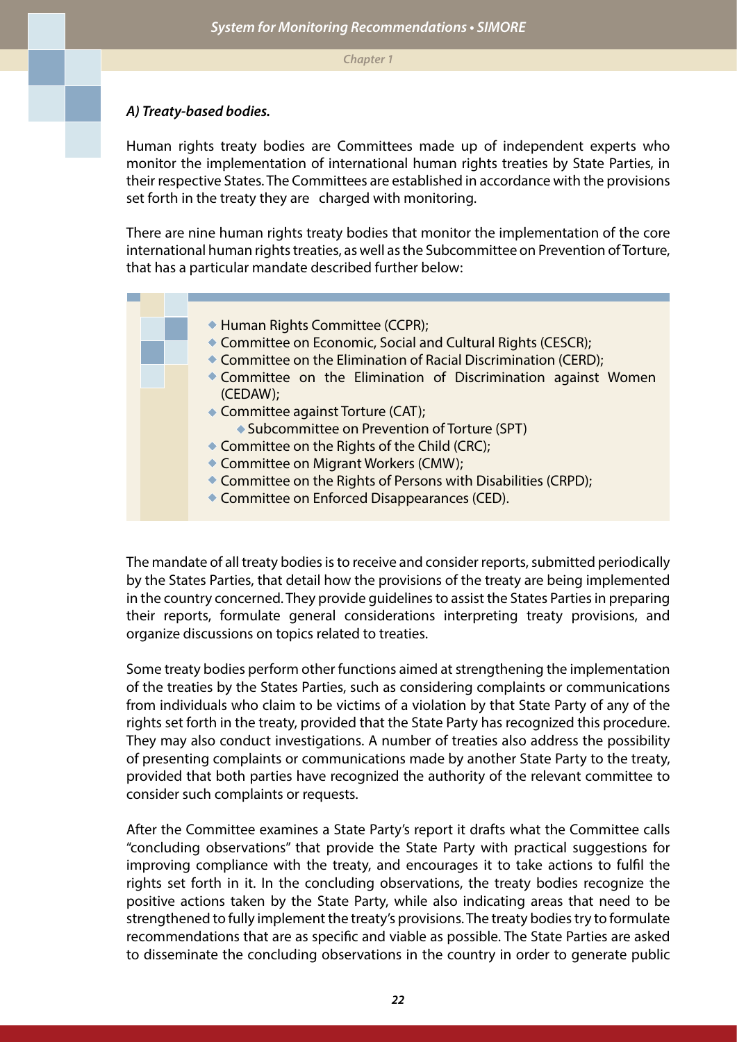#### *A) Treaty-based bodies.*

Human rights treaty bodies are Committees made up of independent experts who monitor the implementation of international human rights treaties by State Parties, in their respective States. The Committees are established in accordance with the provisions set forth in the treaty they are charged with monitoring.

There are nine human rights treaty bodies that monitor the implementation of the core international human rights treaties, as well as the Subcommittee on Prevention of Torture, that has a particular mandate described further below:

The mandate of all treaty bodies is to receive and consider reports, submitted periodically by the States Parties, that detail how the provisions of the treaty are being implemented in the country concerned. They provide guidelines to assist the States Parties in preparing their reports, formulate general considerations interpreting treaty provisions, and organize discussions on topics related to treaties.

Some treaty bodies perform other functions aimed at strengthening the implementation of the treaties by the States Parties, such as considering complaints or communications from individuals who claim to be victims of a violation by that State Party of any of the rights set forth in the treaty, provided that the State Party has recognized this procedure. They may also conduct investigations. A number of treaties also address the possibility of presenting complaints or communications made by another State Party to the treaty, provided that both parties have recognized the authority of the relevant committee to consider such complaints or requests.

After the Committee examines a State Party's report it drafts what the Committee calls "concluding observations" that provide the State Party with practical suggestions for improving compliance with the treaty, and encourages it to take actions to fulfil the rights set forth in it. In the concluding observations, the treaty bodies recognize the positive actions taken by the State Party, while also indicating areas that need to be strengthened to fully implement the treaty's provisions. The treaty bodies try to formulate recommendations that are as specific and viable as possible. The State Parties are asked to disseminate the concluding observations in the country in order to generate public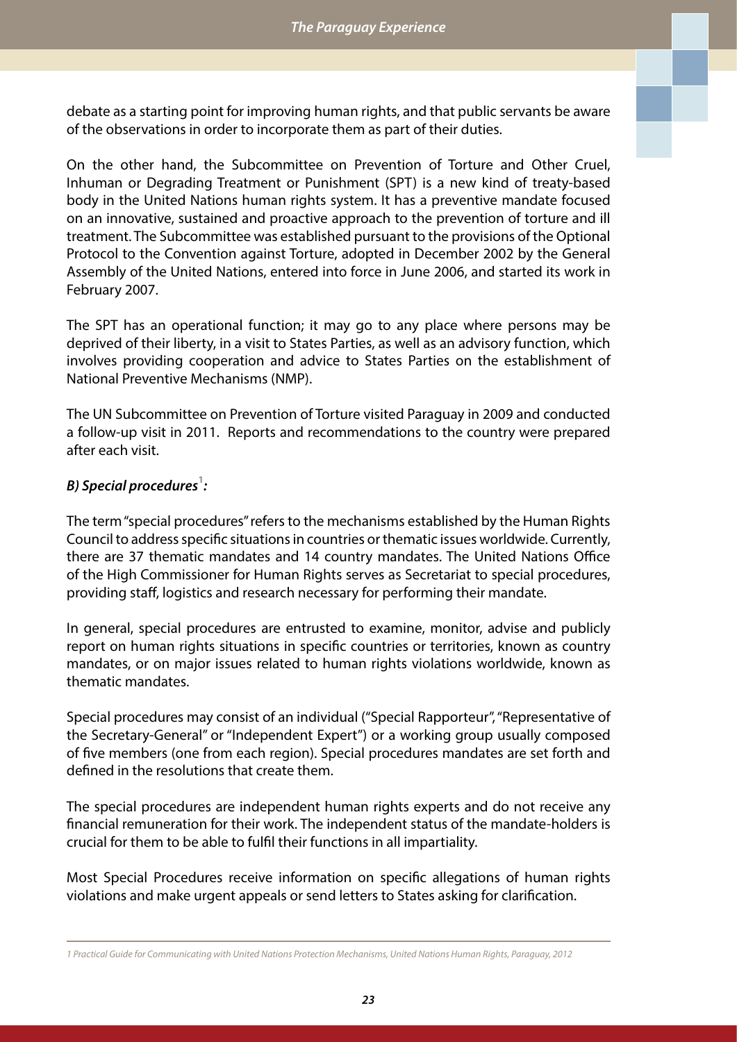debate as a starting point for improving human rights, and that public servants be aware of the observations in order to incorporate them as part of their duties.

On the other hand, the Subcommittee on Prevention of Torture and Other Cruel, Inhuman or Degrading Treatment or Punishment (SPT) is a new kind of treaty-based body in the United Nations human rights system. It has a preventive mandate focused on an innovative, sustained and proactive approach to the prevention of torture and ill treatment. The Subcommittee was established pursuant to the provisions of the Optional Protocol to the Convention against Torture, adopted in December 2002 by the General Assembly of the United Nations, entered into force in June 2006, and started its work in February 2007.

The SPT has an operational function; it may go to any place where persons may be deprived of their liberty, in a visit to States Parties, as well as an advisory function, which involves providing cooperation and advice to States Parties on the establishment of National Preventive Mechanisms (NMP).

The UN Subcommittee on Prevention of Torture visited Paraguay in 2009 and conducted a follow-up visit in 2011. Reports and recommendations to the country were prepared after each visit.

#### *B) Special procedures***<sup>1</sup>** *:*

The term "special procedures" refers to the mechanisms established by the Human Rights Council to address specific situations in countries or thematic issues worldwide. Currently, there are 37 thematic mandates and 14 country mandates. The United Nations Office of the High Commissioner for Human Rights serves as Secretariat to special procedures, providing staff, logistics and research necessary for performing their mandate.

In general, special procedures are entrusted to examine, monitor, advise and publicly report on human rights situations in specific countries or territories, known as country mandates, or on major issues related to human rights violations worldwide, known as thematic mandates.

Special procedures may consist of an individual ("Special Rapporteur", "Representative of the Secretary-General" or "Independent Expert") or a working group usually composed of five members (one from each region). Special procedures mandates are set forth and defined in the resolutions that create them.

The special procedures are independent human rights experts and do not receive any financial remuneration for their work. The independent status of the mandate-holders is crucial for them to be able to fulfil their functions in all impartiality.

Most Special Procedures receive information on specific allegations of human rights violations and make urgent appeals or send letters to States asking for clarification.

*<sup>1</sup> Practical Guide for Communicating with United Nations Protection Mechanisms, United Nations Human Rights, Paraguay, 2012*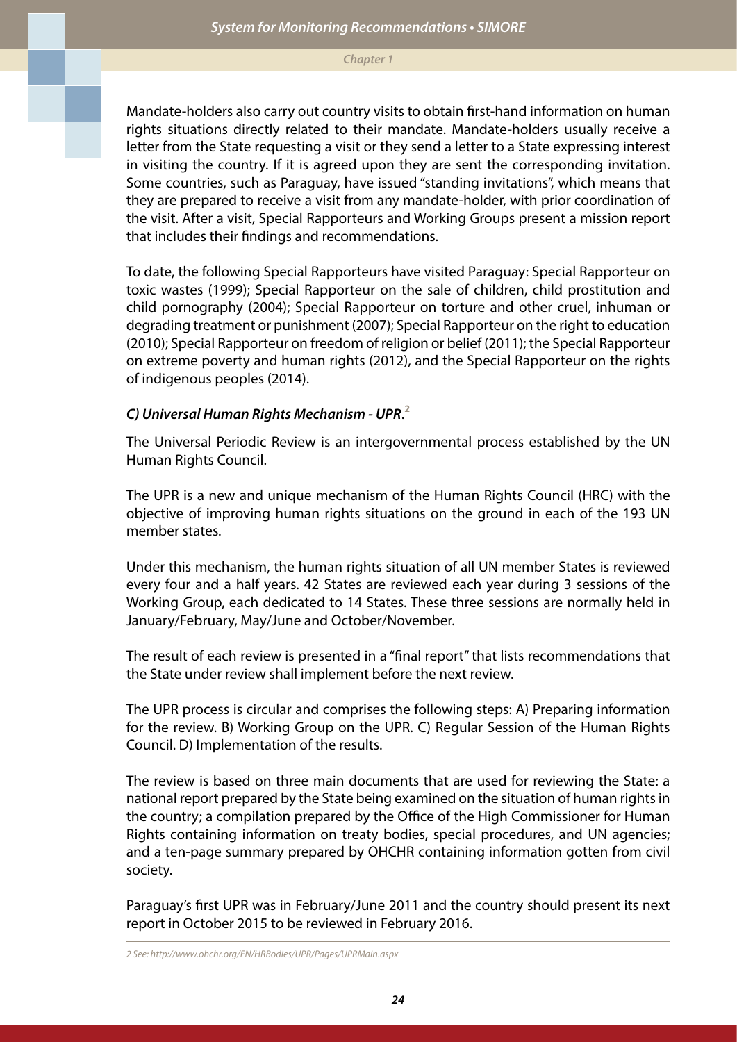Mandate-holders also carry out country visits to obtain first-hand information on human rights situations directly related to their mandate. Mandate-holders usually receive a letter from the State requesting a visit or they send a letter to a State expressing interest in visiting the country. If it is agreed upon they are sent the corresponding invitation. Some countries, such as Paraguay, have issued "standing invitations", which means that they are prepared to receive a visit from any mandate-holder, with prior coordination of the visit. After a visit, Special Rapporteurs and Working Groups present a mission report that includes their findings and recommendations.

To date, the following Special Rapporteurs have visited Paraguay: Special Rapporteur on toxic wastes (1999); Special Rapporteur on the sale of children, child prostitution and child pornography (2004); Special Rapporteur on torture and other cruel, inhuman or degrading treatment or punishment (2007); Special Rapporteur on the right to education (2010); Special Rapporteur on freedom of religion or belief (2011); the Special Rapporteur on extreme poverty and human rights (2012), and the Special Rapporteur on the rights of indigenous peoples (2014).

#### *C) Universal Human Rights Mechanism - UPR*. **2**

The Universal Periodic Review is an intergovernmental process established by the UN Human Rights Council.

The UPR is a new and unique mechanism of the Human Rights Council (HRC) with the objective of improving human rights situations on the ground in each of the 193 UN member states.

Under this mechanism, the human rights situation of all UN member States is reviewed every four and a half years. 42 States are reviewed each year during 3 sessions of the Working Group, each dedicated to 14 States. These three sessions are normally held in January/February, May/June and October/November.

The result of each review is presented in a "final report" that lists recommendations that the State under review shall implement before the next review.

The UPR process is circular and comprises the following steps: A) Preparing information for the review. B) Working Group on the UPR. C) Regular Session of the Human Rights Council. D) Implementation of the results.

The review is based on three main documents that are used for reviewing the State: a national report prepared by the State being examined on the situation of human rights in the country; a compilation prepared by the Office of the High Commissioner for Human Rights containing information on treaty bodies, special procedures, and UN agencies; and a ten-page summary prepared by OHCHR containing information gotten from civil society.

Paraguay's first UPR was in February/June 2011 and the country should present its next report in October 2015 to be reviewed in February 2016.

*2 See: http://www.ohchr.org/EN/HRBodies/UPR/Pages/UPRMain.aspx*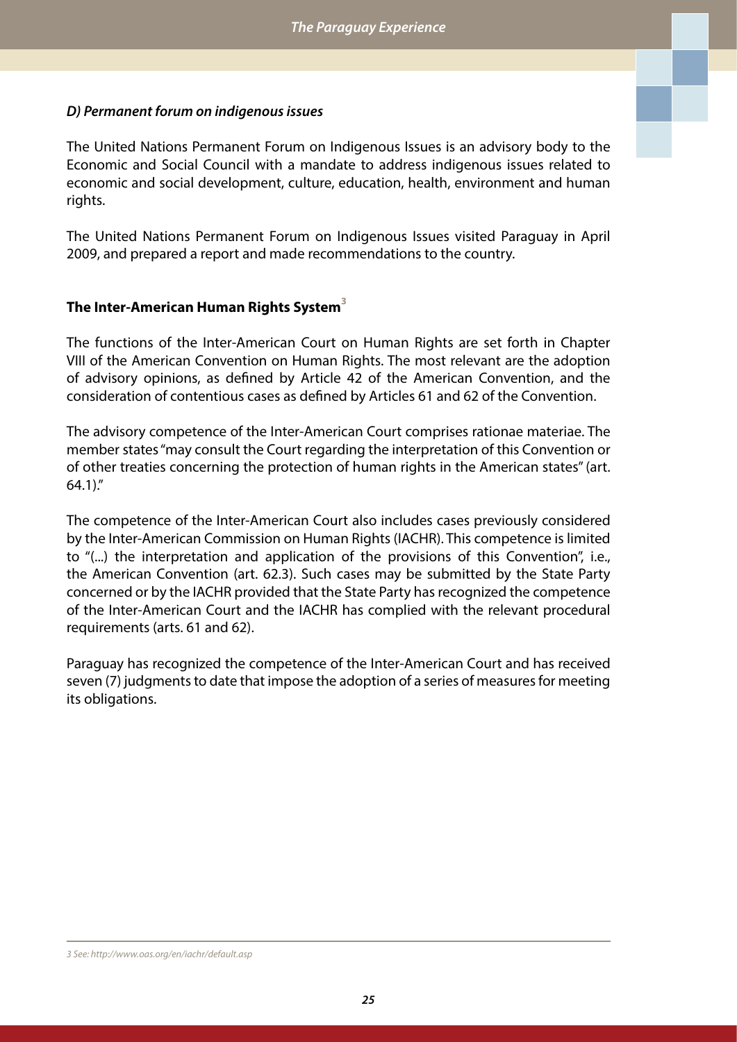#### *D) Permanent forum on indigenous issues*

The United Nations Permanent Forum on Indigenous Issues is an advisory body to the Economic and Social Council with a mandate to address indigenous issues related to economic and social development, culture, education, health, environment and human rights.

The United Nations Permanent Forum on Indigenous Issues visited Paraguay in April 2009, and prepared a report and made recommendations to the country.

#### **The Inter-American Human Rights System3**

The functions of the Inter-American Court on Human Rights are set forth in Chapter VIII of the American Convention on Human Rights. The most relevant are the adoption of advisory opinions, as defined by Article 42 of the American Convention, and the consideration of contentious cases as defined by Articles 61 and 62 of the Convention.

The advisory competence of the Inter-American Court comprises rationae materiae. The member states "may consult the Court regarding the interpretation of this Convention or of other treaties concerning the protection of human rights in the American states" (art. 64.1)."

The competence of the Inter-American Court also includes cases previously considered by the Inter-American Commission on Human Rights (IACHR). This competence is limited to "(...) the interpretation and application of the provisions of this Convention", i.e., the American Convention (art. 62.3). Such cases may be submitted by the State Party concerned or by the IACHR provided that the State Party has recognized the competence of the Inter-American Court and the IACHR has complied with the relevant procedural requirements (arts. 61 and 62).

Paraguay has recognized the competence of the Inter-American Court and has received seven (7) judgments to date that impose the adoption of a series of measures for meeting its obligations.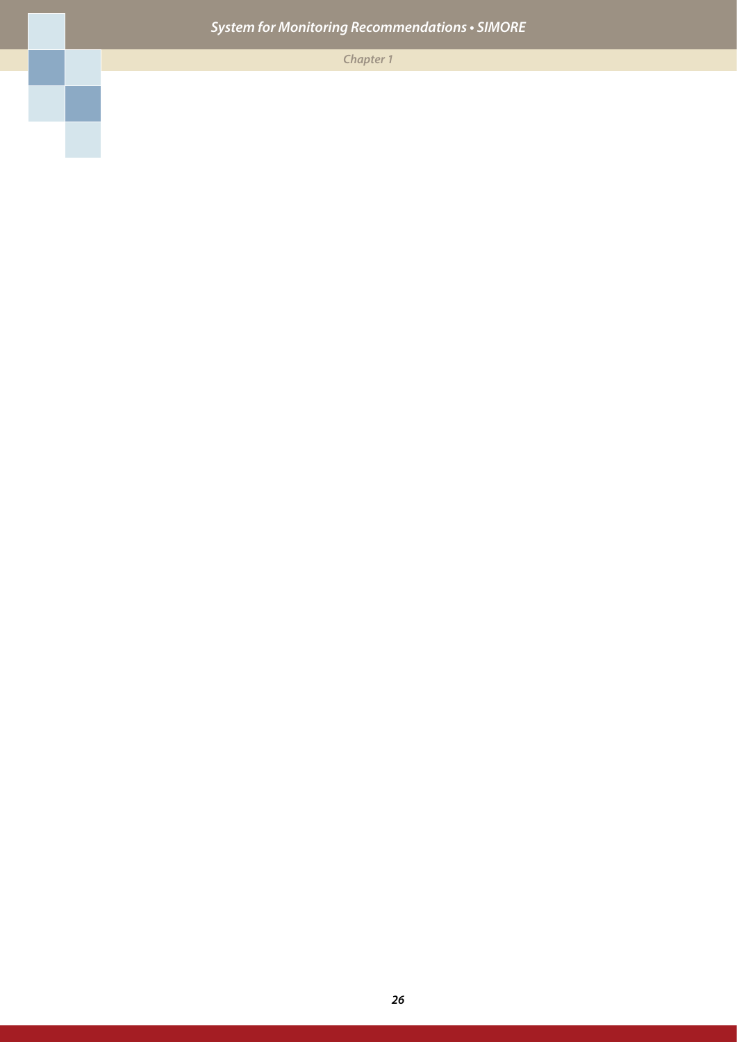### **System for Monitoring Recommendations • SIMORE**

*Chapter 1*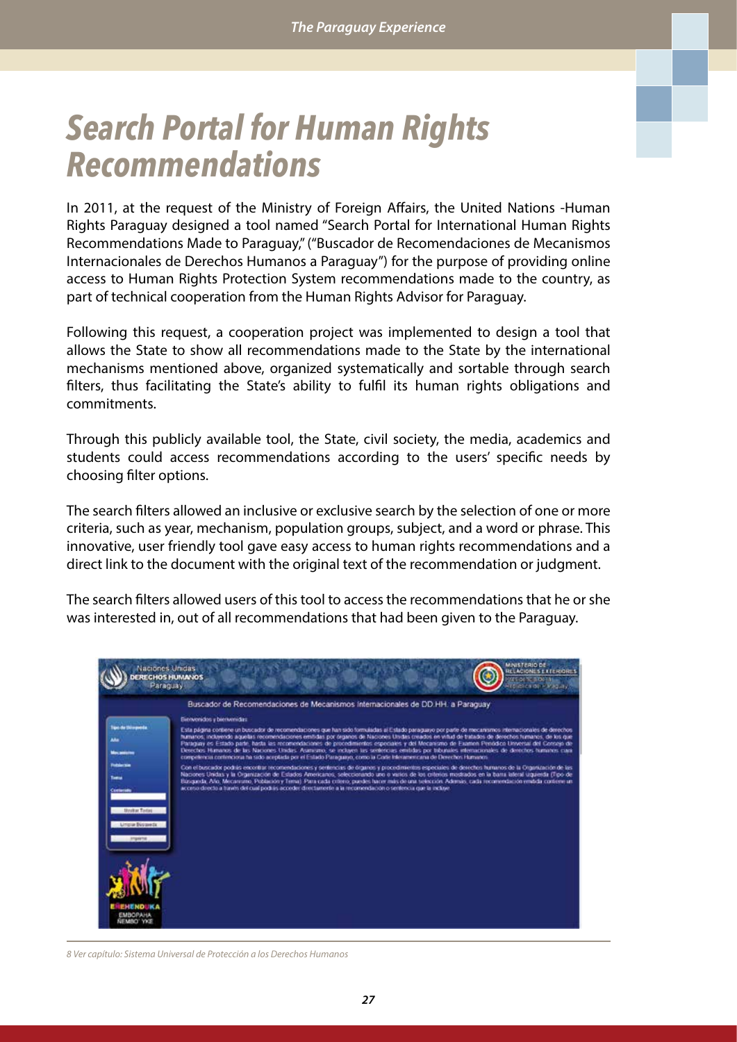# *Search Portal for Human Rights Recommendations*

In 2011, at the request of the Ministry of Foreign Affairs, the United Nations -Human Rights Paraguay designed a tool named "Search Portal for International Human Rights Recommendations Made to Paraguay," ("Buscador de Recomendaciones de Mecanismos Internacionales de Derechos Humanos a Paraguay") for the purpose of providing online access to Human Rights Protection System recommendations made to the country, as part of technical cooperation from the Human Rights Advisor for Paraguay.

Following this request, a cooperation project was implemented to design a tool that allows the State to show all recommendations made to the State by the international mechanisms mentioned above, organized systematically and sortable through search filters, thus facilitating the State's ability to fulfil its human rights obligations and commitments.

Through this publicly available tool, the State, civil society, the media, academics and students could access recommendations according to the users' specific needs by choosing filter options.

The search filters allowed an inclusive or exclusive search by the selection of one or more criteria, such as year, mechanism, population groups, subject, and a word or phrase. This innovative, user friendly tool gave easy access to human rights recommendations and a direct link to the document with the original text of the recommendation or judgment.

The search filters allowed users of this tool to access the recommendations that he or she was interested in, out of all recommendations that had been given to the Paraguay.



*8 Ver capítulo: Sistema Universal de Protección a los Derechos Humanos*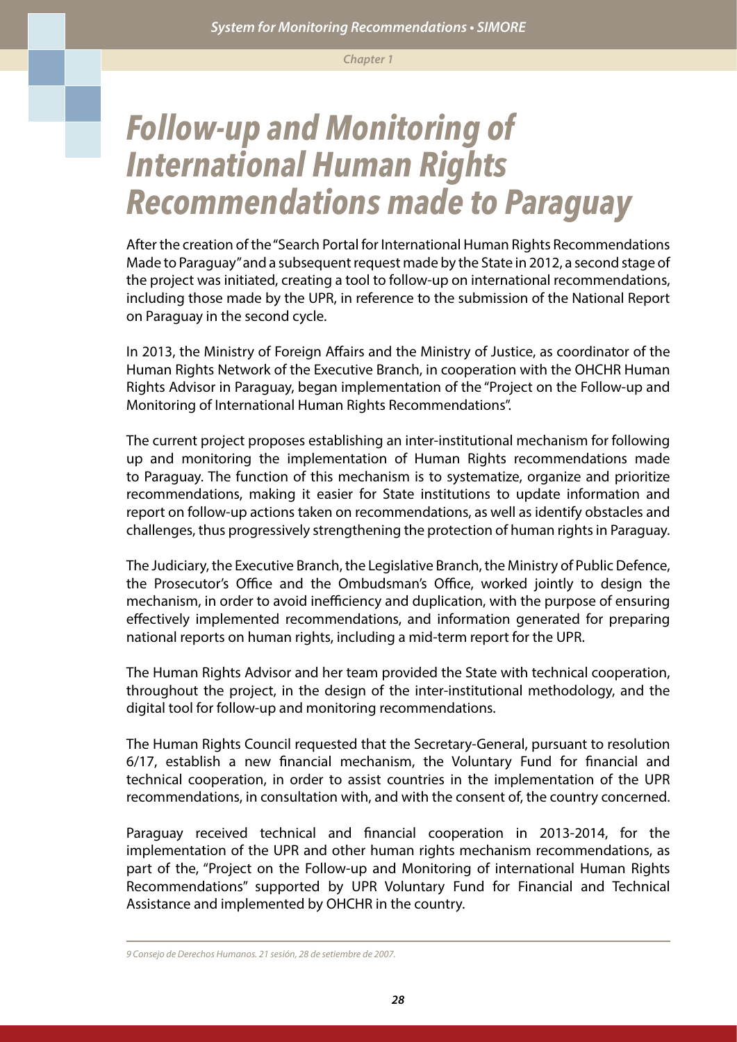# *Follow-up and Monitoring of International Human Rights Recommendations made to Paraguay*

After the creation of the "Search Portal for International Human Rights Recommendations Made to Paraguay" and a subsequent request made by the State in 2012, a second stage of the project was initiated, creating a tool to follow-up on international recommendations, including those made by the UPR, in reference to the submission of the National Report on Paraguay in the second cycle.

In 2013, the Ministry of Foreign Affairs and the Ministry of Justice, as coordinator of the Human Rights Network of the Executive Branch, in cooperation with the OHCHR Human Rights Advisor in Paraguay, began implementation of the "Project on the Follow-up and Monitoring of International Human Rights Recommendations".

The current project proposes establishing an inter-institutional mechanism for following up and monitoring the implementation of Human Rights recommendations made to Paraguay. The function of this mechanism is to systematize, organize and prioritize recommendations, making it easier for State institutions to update information and report on follow-up actions taken on recommendations, as well as identify obstacles and challenges, thus progressively strengthening the protection of human rights in Paraguay.

The Judiciary, the Executive Branch, the Legislative Branch, the Ministry of Public Defence, the Prosecutor's Office and the Ombudsman's Office, worked jointly to design the mechanism, in order to avoid inefficiency and duplication, with the purpose of ensuring effectively implemented recommendations, and information generated for preparing national reports on human rights, including a mid-term report for the UPR.

The Human Rights Advisor and her team provided the State with technical cooperation, throughout the project, in the design of the inter-institutional methodology, and the digital tool for follow-up and monitoring recommendations.

The Human Rights Council requested that the Secretary-General, pursuant to resolution 6/17, establish a new financial mechanism, the Voluntary Fund for financial and technical cooperation, in order to assist countries in the implementation of the UPR recommendations, in consultation with, and with the consent of, the country concerned.

Paraguay received technical and financial cooperation in 2013-2014, for the implementation of the UPR and other human rights mechanism recommendations, as part of the, "Project on the Follow-up and Monitoring of international Human Rights Recommendations" supported by UPR Voluntary Fund for Financial and Technical Assistance and implemented by OHCHR in the country.

*<sup>9</sup> Consejo de Derechos Humanos. 21 sesión, 28 de setiembre de 2007.*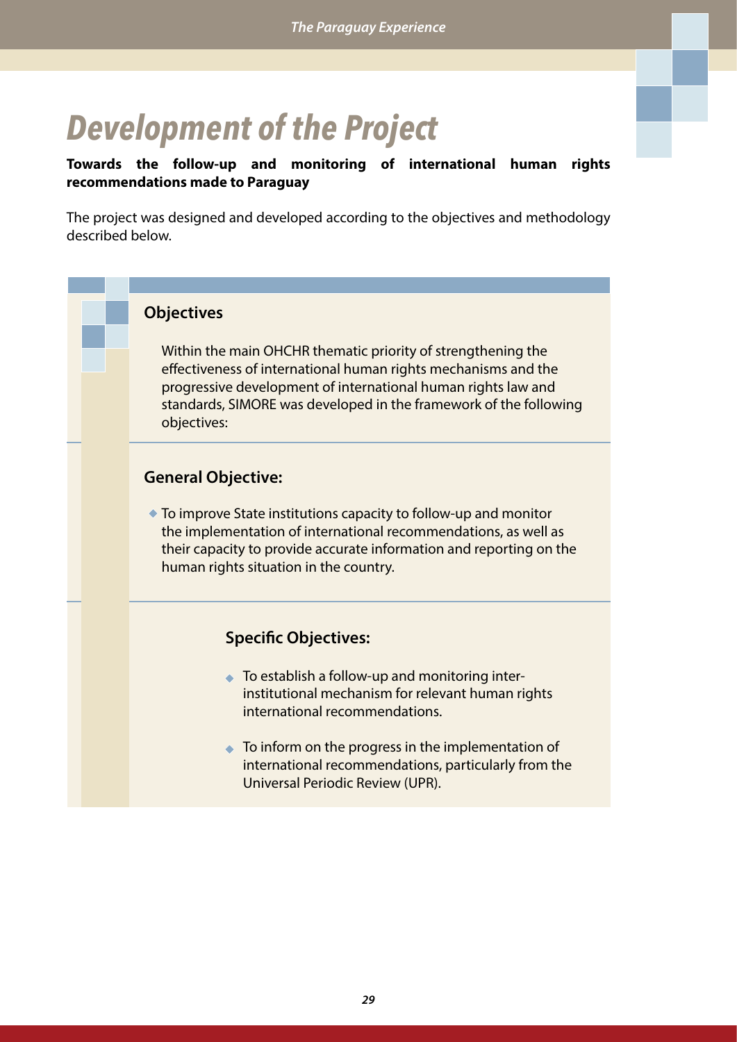# *Development of the Project*

**Towards the follow-up and monitoring of international human rights recommendations made to Paraguay**

The project was designed and developed according to the objectives and methodology described below.

#### **Objectives**

Within the main OHCHR thematic priority of strengthening the effectiveness of international human rights mechanisms and the progressive development of international human rights law and standards, SIMORE was developed in the framework of the following objectives:

#### **General Objective:**

To improve State institutions capacity to follow-up and monitor the implementation of international recommendations, as well as their capacity to provide accurate information and reporting on the human rights situation in the country.

#### **Specific Objectives:**

- ◆ To establish a follow-up and monitoring interinstitutional mechanism for relevant human rights international recommendations.
- $\bullet$  To inform on the progress in the implementation of international recommendations, particularly from the Universal Periodic Review (UPR).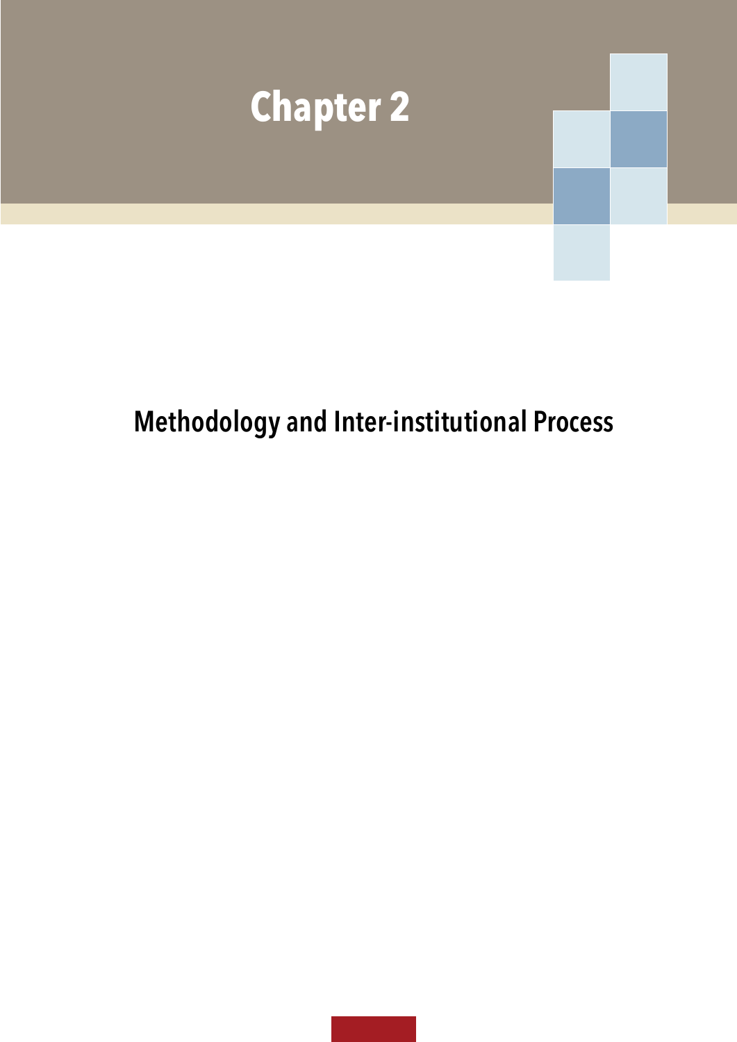

## **Methodology and Inter-institutional Process**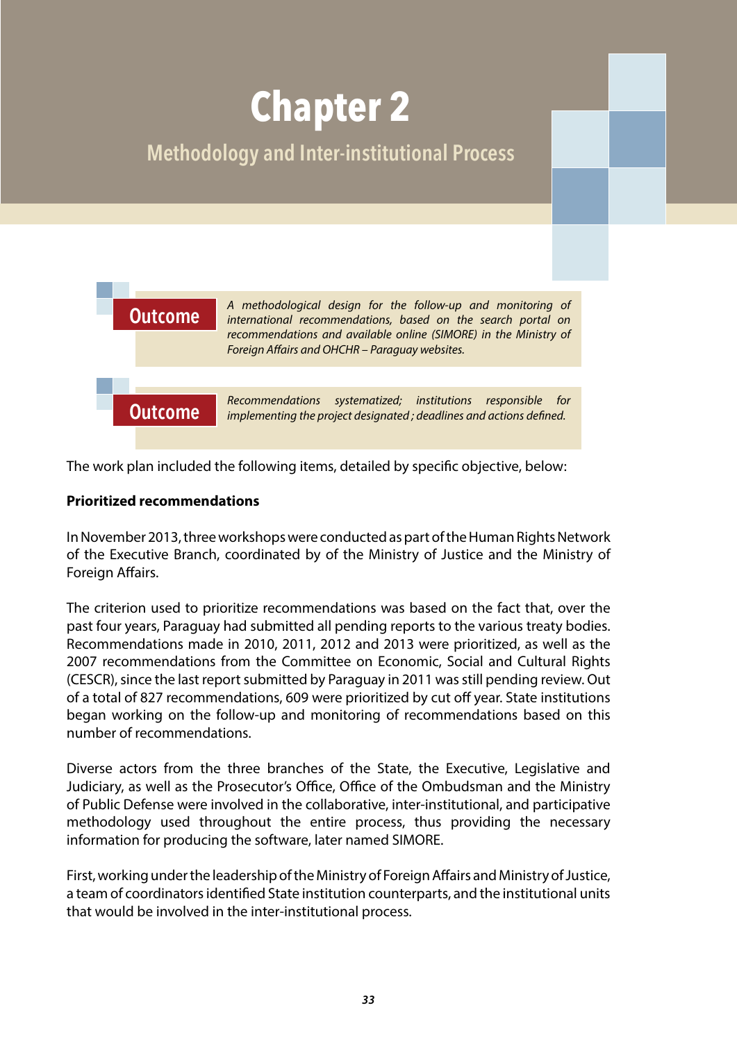### **Methodology and Inter-institutional Process**

#### **Outcome**

*A methodological design for the follow-up and monitoring of international recommendations, based on the search portal on recommendations and available online (SIMORE) in the Ministry of Foreign Affairs and OHCHR – Paraguay websites.*

*Recommendations systematized; institutions responsible for* **Outcome** *implementing the project designated ; deadlines and actions defined.*

The work plan included the following items, detailed by specific objective, below:

#### **Prioritized recommendations**

In November 2013, three workshops were conducted as part of the Human Rights Network of the Executive Branch, coordinated by of the Ministry of Justice and the Ministry of Foreign Affairs.

The criterion used to prioritize recommendations was based on the fact that, over the past four years, Paraguay had submitted all pending reports to the various treaty bodies. Recommendations made in 2010, 2011, 2012 and 2013 were prioritized, as well as the 2007 recommendations from the Committee on Economic, Social and Cultural Rights (CESCR), since the last report submitted by Paraguay in 2011 was still pending review. Out of a total of 827 recommendations, 609 were prioritized by cut off year. State institutions began working on the follow-up and monitoring of recommendations based on this number of recommendations.

Diverse actors from the three branches of the State, the Executive, Legislative and Judiciary, as well as the Prosecutor's Office, Office of the Ombudsman and the Ministry of Public Defense were involved in the collaborative, inter-institutional, and participative methodology used throughout the entire process, thus providing the necessary information for producing the software, later named SIMORE.

First, working under the leadership of the Ministry of Foreign Affairs and Ministry of Justice, a team of coordinators identified State institution counterparts, and the institutional units that would be involved in the inter-institutional process.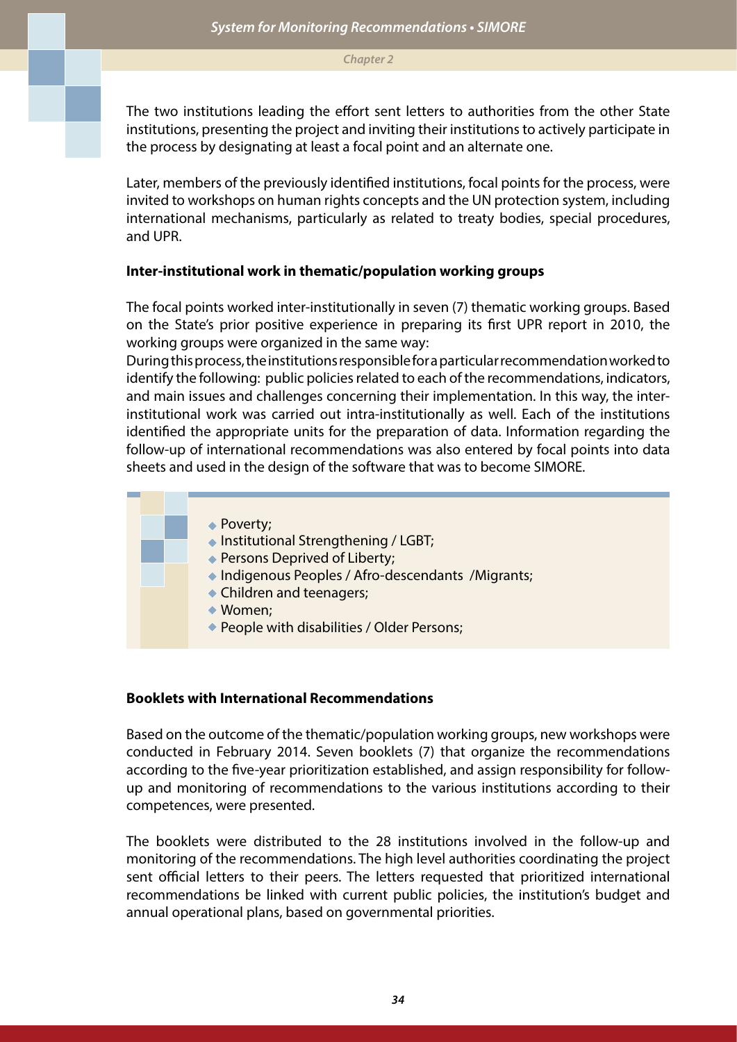The two institutions leading the effort sent letters to authorities from the other State institutions, presenting the project and inviting their institutions to actively participate in the process by designating at least a focal point and an alternate one.

Later, members of the previously identified institutions, focal points for the process, were invited to workshops on human rights concepts and the UN protection system, including international mechanisms, particularly as related to treaty bodies, special procedures, and UPR.

#### **Inter-institutional work in thematic/population working groups**

The focal points worked inter-institutionally in seven (7) thematic working groups. Based on the State's prior positive experience in preparing its first UPR report in 2010, the working groups were organized in the same way:

During this process, the institutions responsible for a particular recommendation worked to identify the following: public policies related to each of the recommendations, indicators, and main issues and challenges concerning their implementation. In this way, the interinstitutional work was carried out intra-institutionally as well. Each of the institutions identified the appropriate units for the preparation of data. Information regarding the follow-up of international recommendations was also entered by focal points into data sheets and used in the design of the software that was to become SIMORE.



#### **Booklets with International Recommendations**

Based on the outcome of the thematic/population working groups, new workshops were conducted in February 2014. Seven booklets (7) that organize the recommendations according to the five-year prioritization established, and assign responsibility for followup and monitoring of recommendations to the various institutions according to their competences, were presented.

The booklets were distributed to the 28 institutions involved in the follow-up and monitoring of the recommendations. The high level authorities coordinating the project sent official letters to their peers. The letters requested that prioritized international recommendations be linked with current public policies, the institution's budget and annual operational plans, based on governmental priorities.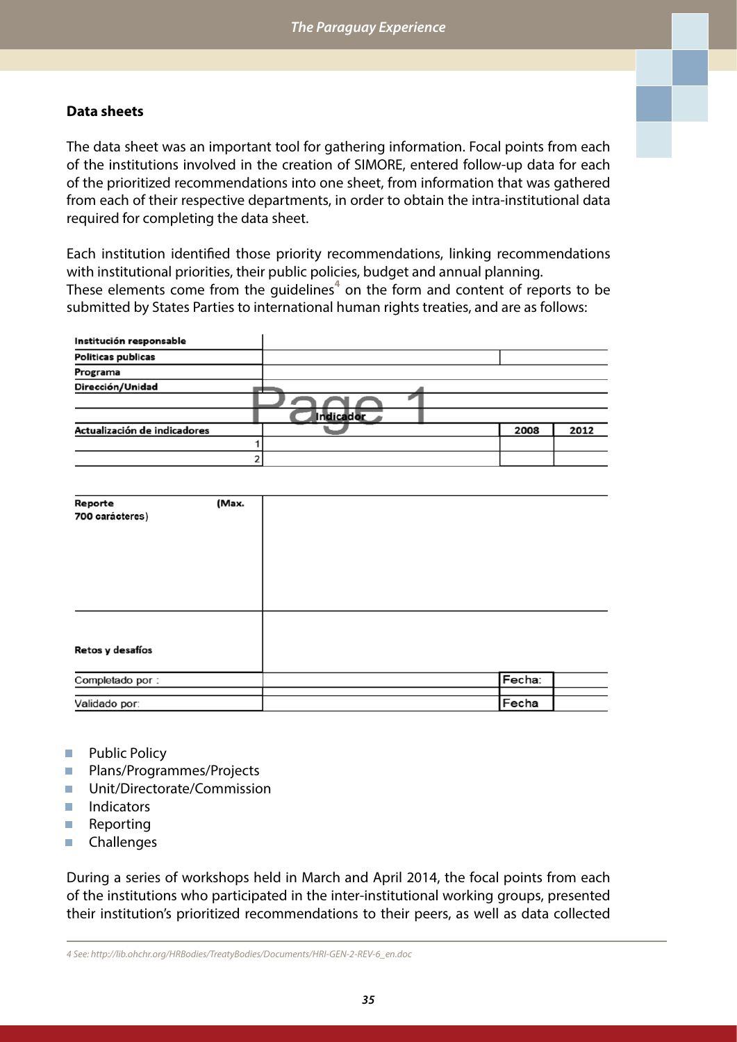#### **Data sheets**

The data sheet was an important tool for gathering information. Focal points from each of the institutions involved in the creation of SIMORE, entered follow-up data for each of the prioritized recommendations into one sheet, from information that was gathered from each of their respective departments, in order to obtain the intra-institutional data required for completing the data sheet.

Each institution identified those priority recommendations, linking recommendations with institutional priorities, their public policies, budget and annual planning. These elements come from the guidelines<sup>4</sup> on the form and content of reports to be submitted by States Parties to international human rights treaties, and are as follows:

| Institución responsable      |          |      |      |
|------------------------------|----------|------|------|
| <b>Politicas publicas</b>    |          |      |      |
| Programa                     |          |      |      |
| Dirección/Unidad             |          |      |      |
|                              |          |      |      |
|                              | ndicador |      |      |
| Actualización de indicadores |          | 2008 | 2012 |
|                              |          |      |      |
|                              |          |      |      |

| Reporte<br>700 carácteres) | (Max. |        |  |
|----------------------------|-------|--------|--|
|                            |       |        |  |
| Retos y desafíos           |       |        |  |
| Completado por :           |       | Fecha: |  |
| Validado por:              |       | Fecha  |  |

- **Public Policy**
- **•** Plans/Programmes/Projects
- **•** Unit/Directorate/Commission
- **•** Indicators
- $\blacksquare$  Reporting
- **•** Challenges

During a series of workshops held in March and April 2014, the focal points from each of the institutions who participated in the inter-institutional working groups, presented their institution's prioritized recommendations to their peers, as well as data collected

*<sup>4</sup> See: http://lib.ohchr.org/HRBodies/TreatyBodies/Documents/HRI-GEN-2-REV-6\_en.doc*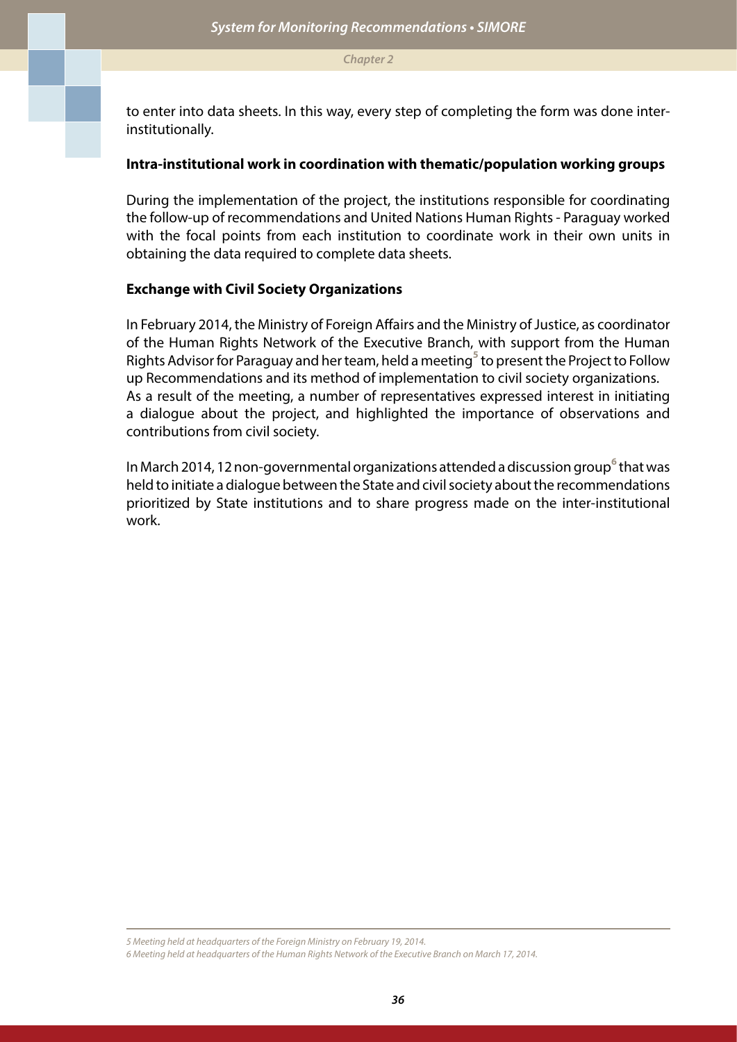to enter into data sheets. In this way, every step of completing the form was done interinstitutionally.

#### **Intra-institutional work in coordination with thematic/population working groups**

During the implementation of the project, the institutions responsible for coordinating the follow-up of recommendations and United Nations Human Rights - Paraguay worked with the focal points from each institution to coordinate work in their own units in obtaining the data required to complete data sheets.

#### **Exchange with Civil Society Organizations**

In February 2014, the Ministry of Foreign Affairs and the Ministry of Justice, as coordinator of the Human Rights Network of the Executive Branch, with support from the Human Rights Advisor for Paraguay and her team, held a meeting**<sup>5</sup>** to present the Project to Follow up Recommendations and its method of implementation to civil society organizations. As a result of the meeting, a number of representatives expressed interest in initiating a dialogue about the project, and highlighted the importance of observations and contributions from civil society.

In March 2014, 12 non-governmental organizations attended a discussion group<sup>6</sup> that was held to initiate a dialogue between the State and civil society about the recommendations prioritized by State institutions and to share progress made on the inter-institutional work.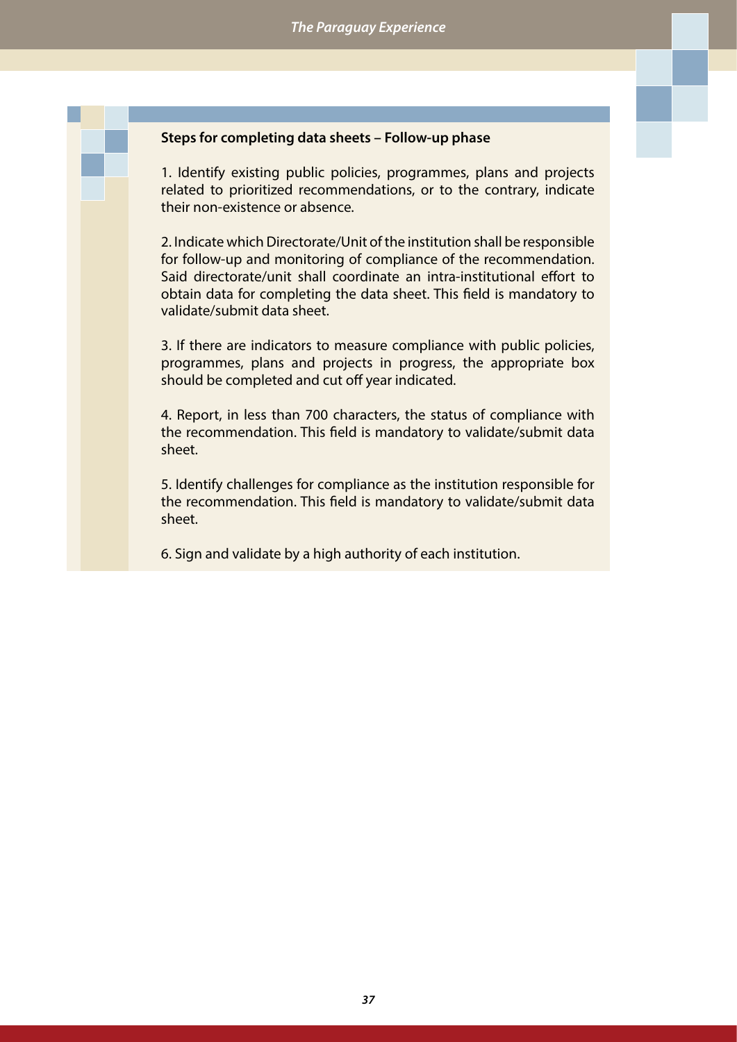#### **Steps for completing data sheets – Follow-up phase**

1. Identify existing public policies, programmes, plans and projects related to prioritized recommendations, or to the contrary, indicate their non-existence or absence.

2. Indicate which Directorate/Unit of the institution shall be responsible for follow-up and monitoring of compliance of the recommendation. Said directorate/unit shall coordinate an intra-institutional effort to obtain data for completing the data sheet. This field is mandatory to validate/submit data sheet.

3. If there are indicators to measure compliance with public policies, programmes, plans and projects in progress, the appropriate box should be completed and cut off year indicated.

4. Report, in less than 700 characters, the status of compliance with the recommendation. This field is mandatory to validate/submit data sheet.

5. Identify challenges for compliance as the institution responsible for the recommendation. This field is mandatory to validate/submit data sheet.

6. Sign and validate by a high authority of each institution.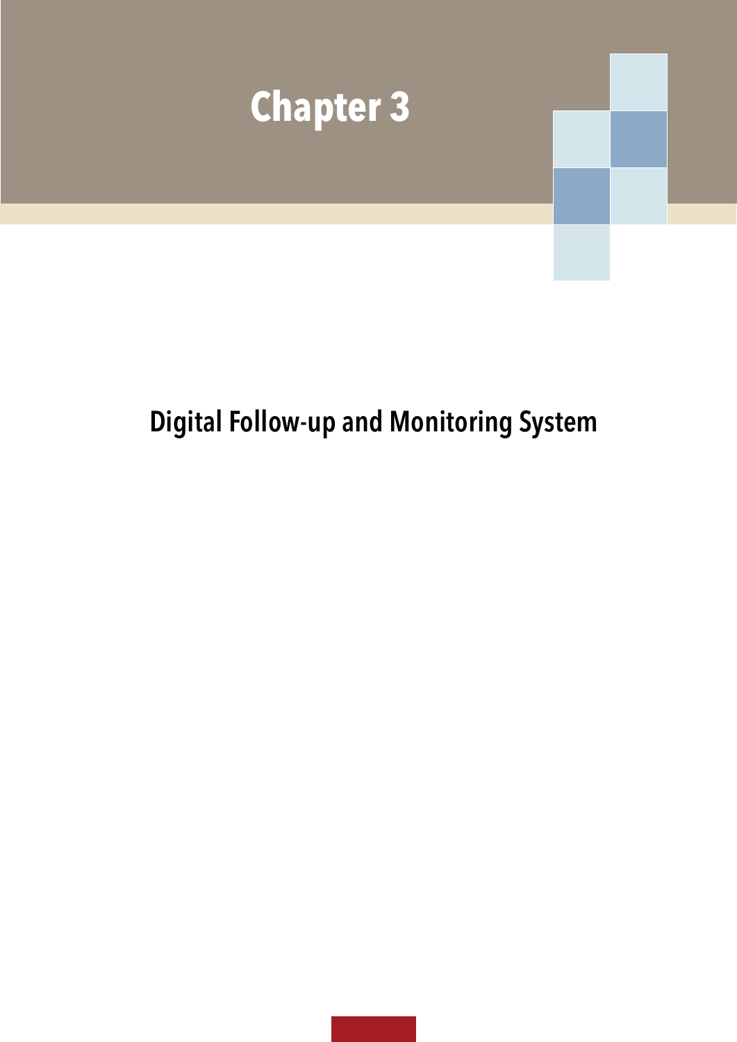

## **Digital Follow-up and Monitoring System**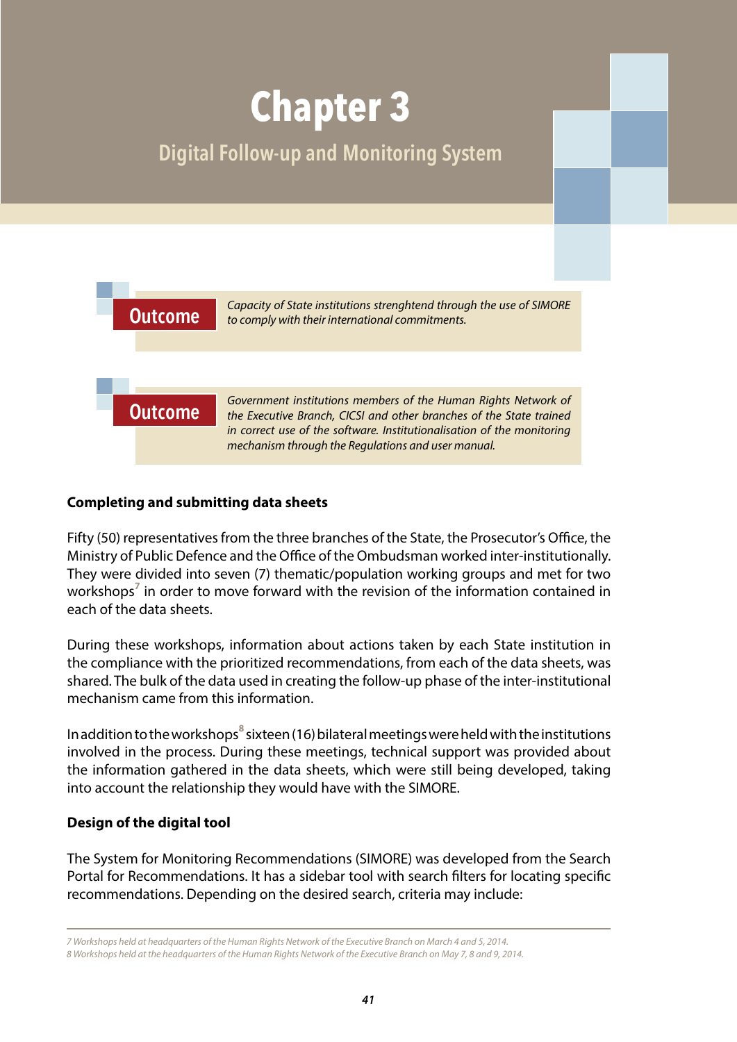### **Digital Follow-up and Monitoring System**

*Capacity of State institutions strenghtend through the use of SIMORE* **Outcome** *to comply with their international commitments.*

**Outcome**

*Government institutions members of the Human Rights Network of the Executive Branch, CICSI and other branches of the State trained in correct use of the software. Institutionalisation of the monitoring mechanism through the Regulations and user manual.*

#### **Completing and submitting data sheets**

Fifty (50) representatives from the three branches of the State, the Prosecutor's Office, the Ministry of Public Defence and the Office of the Ombudsman worked inter-institutionally. They were divided into seven (7) thematic/population working groups and met for two workshops**<sup>7</sup>** in order to move forward with the revision of the information contained in each of the data sheets.

During these workshops, information about actions taken by each State institution in the compliance with the prioritized recommendations, from each of the data sheets, was shared. The bulk of the data used in creating the follow-up phase of the inter-institutional mechanism came from this information.

In addition to the workshops**<sup>8</sup>** sixteen (16) bilateral meetings were held with the institutions involved in the process. During these meetings, technical support was provided about the information gathered in the data sheets, which were still being developed, taking into account the relationship they would have with the SIMORE.

#### **Design of the digital tool**

The System for Monitoring Recommendations (SIMORE) was developed from the Search Portal for Recommendations. It has a sidebar tool with search filters for locating specific recommendations. Depending on the desired search, criteria may include:

*<sup>7</sup> Workshops held at headquarters of the Human Rights Network of the Executive Branch on March 4 and 5, 2014.*

*<sup>8</sup> Workshops held at the headquarters of the Human Rights Network of the Executive Branch on May 7, 8 and 9, 2014.*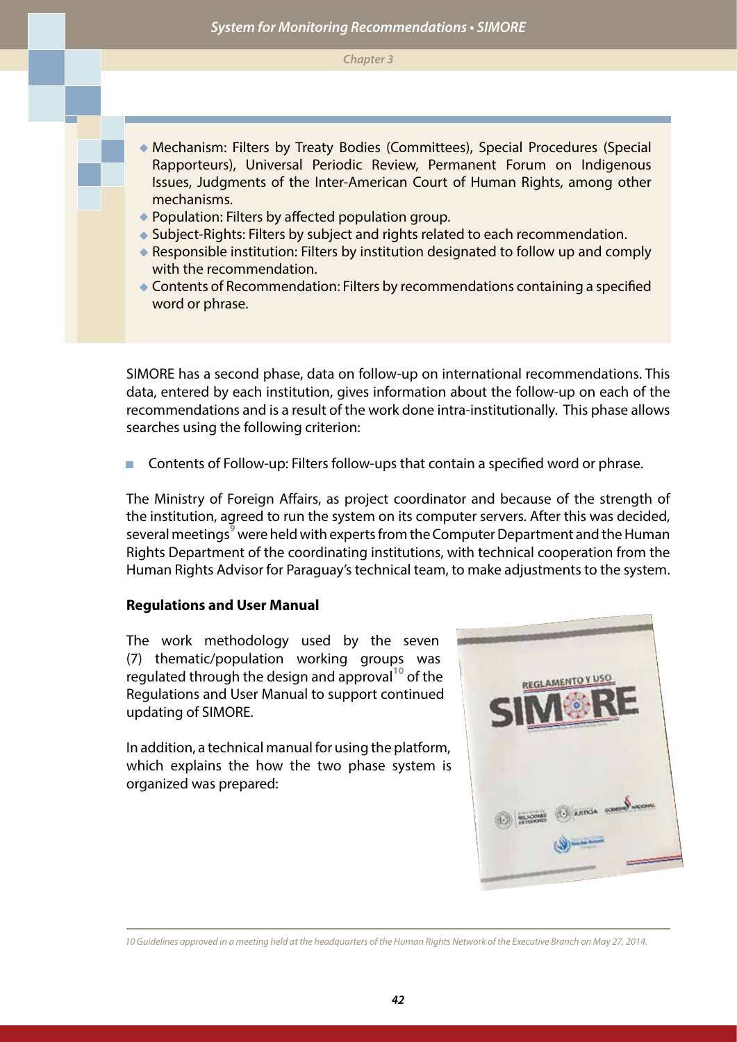- Mechanism: Filters by Treaty Bodies (Committees), Special Procedures (Special Rapporteurs), Universal Periodic Review, Permanent Forum on Indigenous Issues, Judgments of the Inter-American Court of Human Rights, among other mechanisms.
- ◆ Population: Filters by affected population group.
- ◆ Subject-Rights: Filters by subject and rights related to each recommendation.
- Responsible institution: Filters by institution designated to follow up and comply with the recommendation.
- Contents of Recommendation: Filters by recommendations containing a specified word or phrase.

SIMORE has a second phase, data on follow-up on international recommendations. This data, entered by each institution, gives information about the follow-up on each of the recommendations and is a result of the work done intra-institutionally. This phase allows searches using the following criterion:

 $\blacksquare$  Contents of Follow-up: Filters follow-ups that contain a specified word or phrase.

The Ministry of Foreign Affairs, as project coordinator and because of the strength of the institution, agreed to run the system on its computer servers. After this was decided, several meetings**<sup>9</sup>** were held with experts from the Computer Department and the Human Rights Department of the coordinating institutions, with technical cooperation from the Human Rights Advisor for Paraguay's technical team, to make adjustments to the system.

#### **Regulations and User Manual**

The work methodology used by the seven (7) thematic/population working groups was regulated through the design and approval**<sup>10</sup>** of the Regulations and User Manual to support continued updating of SIMORE.

In addition, a technical manual for using the platform, which explains the how the two phase system is organized was prepared:



*10 Guidelines approved in a meeting held at the headquarters of the Human Rights Network of the Executive Branch on May 27, 2014.*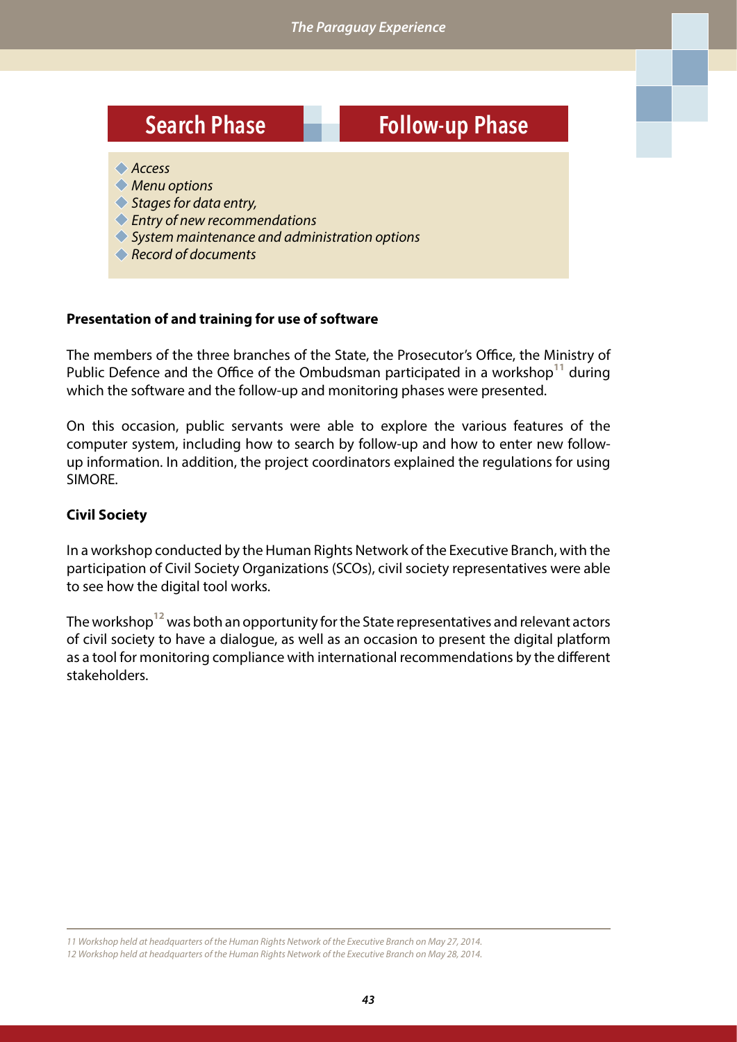### **Search Phase Follow-up Phase**

- *Access*
- *Menu options*
- *Stages for data entry,*
- *Entry of new recommendations*
- *System maintenance and administration options*
- *Record of documents*

#### **Presentation of and training for use of software**

The members of the three branches of the State, the Prosecutor's Office, the Ministry of Public Defence and the Office of the Ombudsman participated in a workshop**<sup>11</sup>** during which the software and the follow-up and monitoring phases were presented.

On this occasion, public servants were able to explore the various features of the computer system, including how to search by follow-up and how to enter new followup information. In addition, the project coordinators explained the regulations for using SIMORE.

#### **Civil Society**

In a workshop conducted by the Human Rights Network of the Executive Branch, with the participation of Civil Society Organizations (SCOs), civil society representatives were able to see how the digital tool works.

The workshop**<sup>12</sup>** was both an opportunity for the State representatives and relevant actors of civil society to have a dialogue, as well as an occasion to present the digital platform as a tool for monitoring compliance with international recommendations by the different stakeholders.

*11 Workshop held at headquarters of the Human Rights Network of the Executive Branch on May 27, 2014.*

*12 Workshop held at headquarters of the Human Rights Network of the Executive Branch on May 28, 2014.*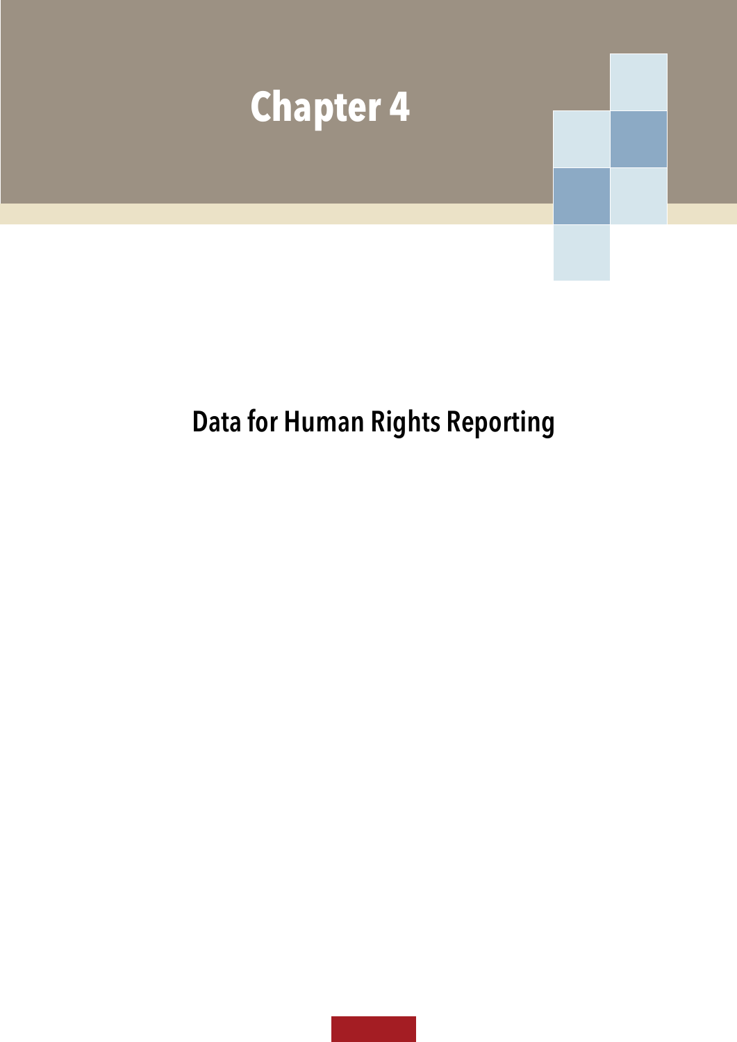

## **Data for Human Rights Reporting**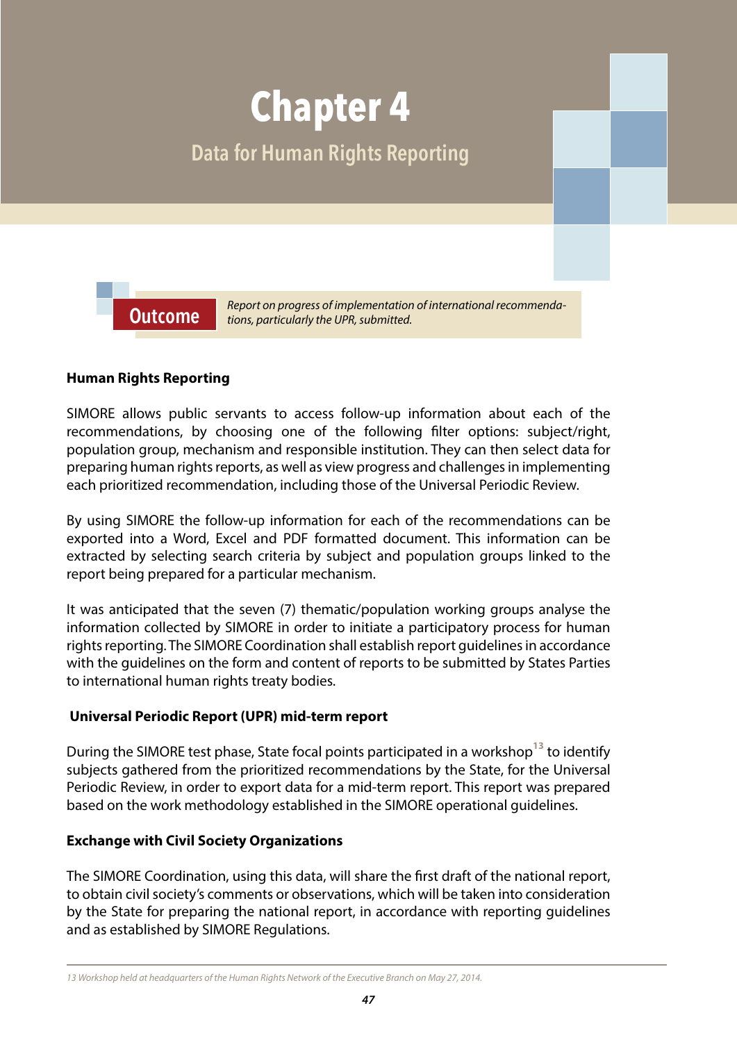### **Data for Human Rights Reporting**

*Report on progress of implementation of international recommenda-***Outcome** *tions, particularly the UPR, submitted.*

#### **Human Rights Reporting**

SIMORE allows public servants to access follow-up information about each of the recommendations, by choosing one of the following filter options: subject/right, population group, mechanism and responsible institution. They can then select data for preparing human rights reports, as well as view progress and challenges in implementing each prioritized recommendation, including those of the Universal Periodic Review.

By using SIMORE the follow-up information for each of the recommendations can be exported into a Word, Excel and PDF formatted document. This information can be extracted by selecting search criteria by subject and population groups linked to the report being prepared for a particular mechanism.

It was anticipated that the seven (7) thematic/population working groups analyse the information collected by SIMORE in order to initiate a participatory process for human rights reporting. The SIMORE Coordination shall establish report guidelines in accordance with the guidelines on the form and content of reports to be submitted by States Parties to international human rights treaty bodies.

#### **Universal Periodic Report (UPR) mid-term report**

During the SIMORE test phase, State focal points participated in a workshop**<sup>13</sup>** to identify subjects gathered from the prioritized recommendations by the State, for the Universal Periodic Review, in order to export data for a mid-term report. This report was prepared based on the work methodology established in the SIMORE operational guidelines.

#### **Exchange with Civil Society Organizations**

The SIMORE Coordination, using this data, will share the first draft of the national report, to obtain civil society's comments or observations, which will be taken into consideration by the State for preparing the national report, in accordance with reporting guidelines and as established by SIMORE Regulations.

*<sup>13</sup> Workshop held at headquarters of the Human Rights Network of the Executive Branch on May 27, 2014.*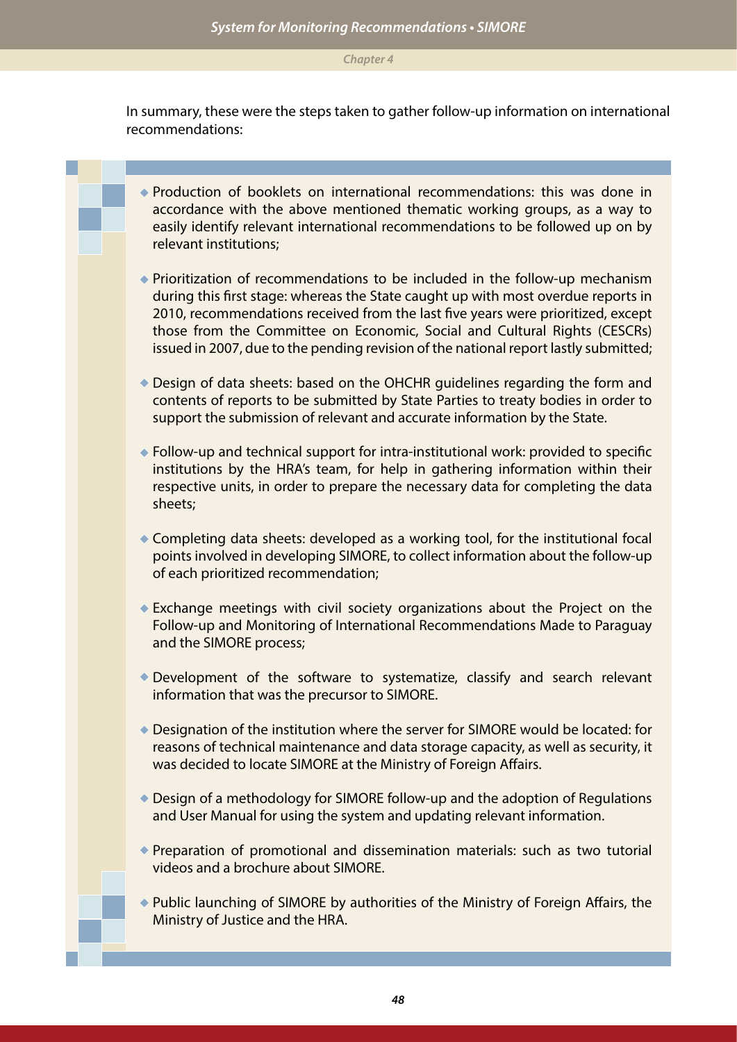In summary, these were the steps taken to gather follow-up information on international recommendations:

- Production of booklets on international recommendations: this was done in accordance with the above mentioned thematic working groups, as a way to easily identify relevant international recommendations to be followed up on by relevant institutions;
- Prioritization of recommendations to be included in the follow-up mechanism during this first stage: whereas the State caught up with most overdue reports in 2010, recommendations received from the last five years were prioritized, except those from the Committee on Economic, Social and Cultural Rights (CESCRs) issued in 2007, due to the pending revision of the national report lastly submitted;
- Design of data sheets: based on the OHCHR guidelines regarding the form and contents of reports to be submitted by State Parties to treaty bodies in order to support the submission of relevant and accurate information by the State.
- Follow-up and technical support for intra-institutional work: provided to specific institutions by the HRA's team, for help in gathering information within their respective units, in order to prepare the necessary data for completing the data sheets;
- Completing data sheets: developed as a working tool, for the institutional focal points involved in developing SIMORE, to collect information about the follow-up of each prioritized recommendation;
- Exchange meetings with civil society organizations about the Project on the Follow-up and Monitoring of International Recommendations Made to Paraguay and the SIMORE process;
- Development of the software to systematize, classify and search relevant information that was the precursor to SIMORE.
- Designation of the institution where the server for SIMORE would be located: for reasons of technical maintenance and data storage capacity, as well as security, it was decided to locate SIMORE at the Ministry of Foreign Affairs.
- Design of a methodology for SIMORE follow-up and the adoption of Regulations and User Manual for using the system and updating relevant information.
- Preparation of promotional and dissemination materials: such as two tutorial videos and a brochure about SIMORE.
- Public launching of SIMORE by authorities of the Ministry of Foreign Affairs, the Ministry of Justice and the HRA.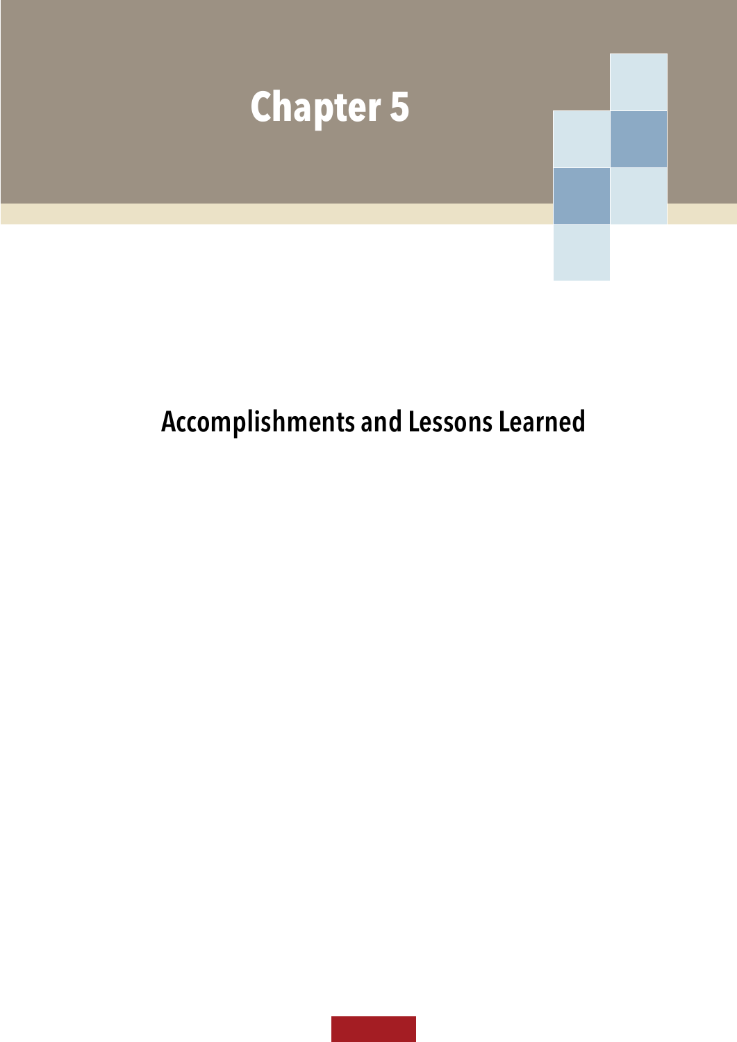

## **Accomplishments and Lessons Learned**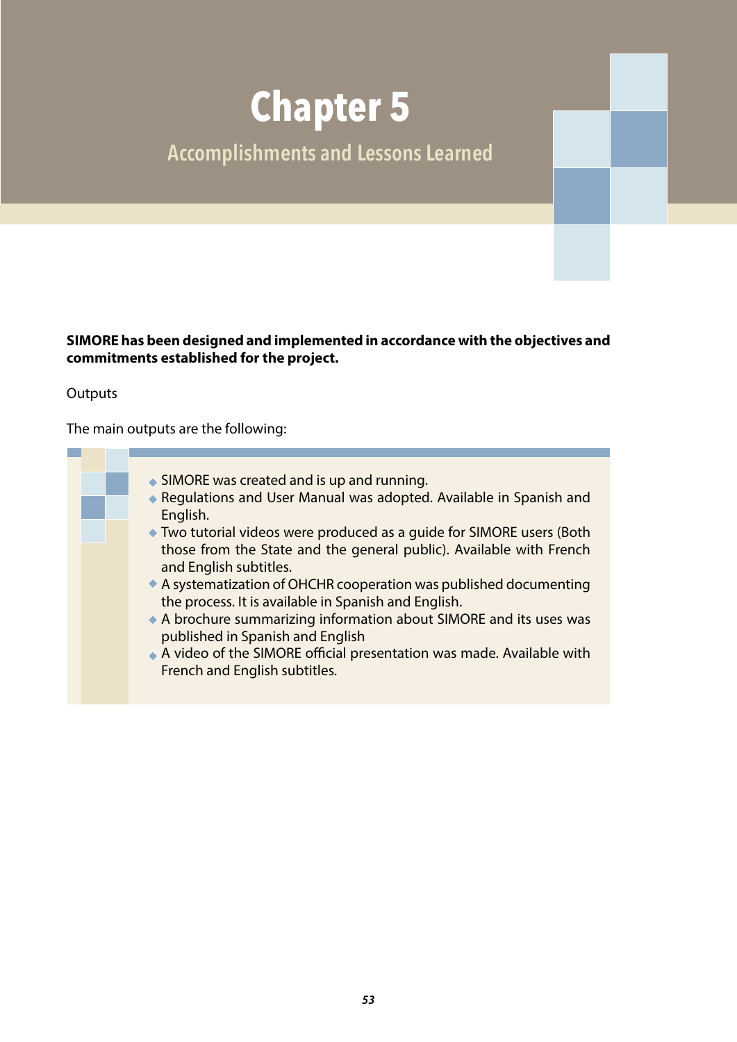### **Accomplishments and Lessons Learned**

#### **SIMORE has been designed and implemented in accordance with the objectives and commitments established for the project.**

#### **Outputs**

---

The main outputs are the following:

|  | • SIMORE was created and is up and running.<br>◆ Regulations and User Manual was adopted. Available in Spanish and<br>English.<br>• Two tutorial videos were produced as a guide for SIMORE users (Both<br>those from the State and the general public). Available with French                                                                                          |
|--|-------------------------------------------------------------------------------------------------------------------------------------------------------------------------------------------------------------------------------------------------------------------------------------------------------------------------------------------------------------------------|
|  | and English subtitles.<br>• A systematization of OHCHR cooperation was published documenting<br>the process. It is available in Spanish and English.<br>• A brochure summarizing information about SIMORE and its uses was<br>published in Spanish and English<br>A video of the SIMORE official presentation was made. Available with<br>French and English subtitles. |
|  |                                                                                                                                                                                                                                                                                                                                                                         |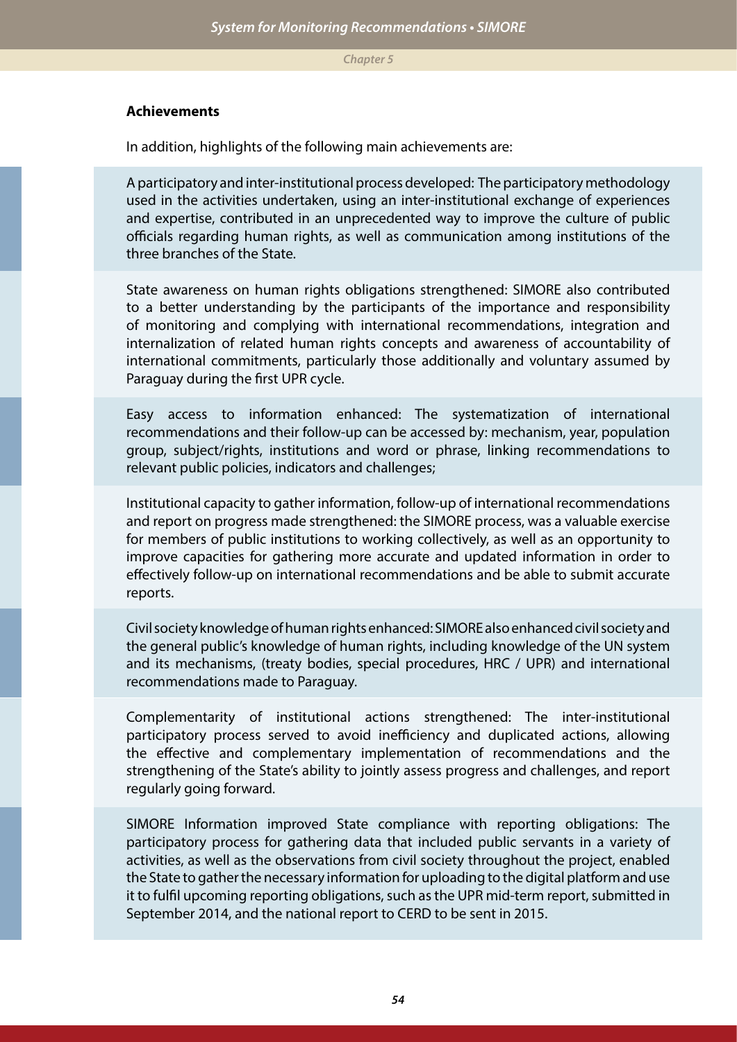#### **Achievements**

In addition, highlights of the following main achievements are:

A participatory and inter-institutional process developed: The participatory methodology used in the activities undertaken, using an inter-institutional exchange of experiences and expertise, contributed in an unprecedented way to improve the culture of public officials regarding human rights, as well as communication among institutions of the three branches of the State.

State awareness on human rights obligations strengthened: SIMORE also contributed to a better understanding by the participants of the importance and responsibility of monitoring and complying with international recommendations, integration and internalization of related human rights concepts and awareness of accountability of international commitments, particularly those additionally and voluntary assumed by Paraguay during the first UPR cycle.

Easy access to information enhanced: The systematization of international recommendations and their follow-up can be accessed by: mechanism, year, population group, subject/rights, institutions and word or phrase, linking recommendations to relevant public policies, indicators and challenges;

Institutional capacity to gather information, follow-up of international recommendations and report on progress made strengthened: the SIMORE process, was a valuable exercise for members of public institutions to working collectively, as well as an opportunity to improve capacities for gathering more accurate and updated information in order to effectively follow-up on international recommendations and be able to submit accurate reports.

Civil society knowledge of human rights enhanced: SIMORE also enhanced civil society and the general public's knowledge of human rights, including knowledge of the UN system and its mechanisms, (treaty bodies, special procedures, HRC / UPR) and international recommendations made to Paraguay.

Complementarity of institutional actions strengthened: The inter-institutional participatory process served to avoid inefficiency and duplicated actions, allowing the effective and complementary implementation of recommendations and the strengthening of the State's ability to jointly assess progress and challenges, and report regularly going forward.

SIMORE Information improved State compliance with reporting obligations: The participatory process for gathering data that included public servants in a variety of activities, as well as the observations from civil society throughout the project, enabled the State to gather the necessary information for uploading to the digital platform and use it to fulfil upcoming reporting obligations, such as the UPR mid-term report, submitted in September 2014, and the national report to CERD to be sent in 2015.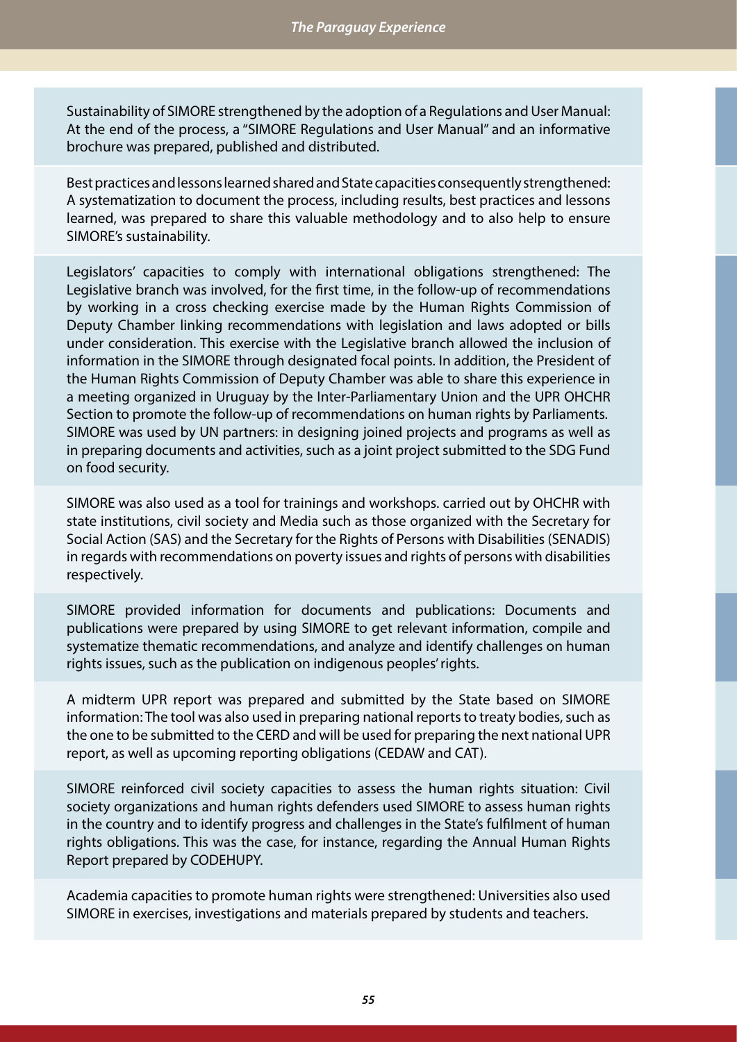Sustainability of SIMORE strengthened by the adoption of a Regulations and User Manual: At the end of the process, a "SIMORE Regulations and User Manual" and an informative brochure was prepared, published and distributed.

Best practices and lessons learned shared and State capacities consequently strengthened: A systematization to document the process, including results, best practices and lessons learned, was prepared to share this valuable methodology and to also help to ensure SIMORE's sustainability.

Legislators' capacities to comply with international obligations strengthened: The Legislative branch was involved, for the first time, in the follow-up of recommendations by working in a cross checking exercise made by the Human Rights Commission of Deputy Chamber linking recommendations with legislation and laws adopted or bills under consideration. This exercise with the Legislative branch allowed the inclusion of information in the SIMORE through designated focal points. In addition, the President of the Human Rights Commission of Deputy Chamber was able to share this experience in a meeting organized in Uruguay by the Inter-Parliamentary Union and the UPR OHCHR Section to promote the follow-up of recommendations on human rights by Parliaments. SIMORE was used by UN partners: in designing joined projects and programs as well as in preparing documents and activities, such as a joint project submitted to the SDG Fund on food security.

SIMORE was also used as a tool for trainings and workshops. carried out by OHCHR with state institutions, civil society and Media such as those organized with the Secretary for Social Action (SAS) and the Secretary for the Rights of Persons with Disabilities (SENADIS) in regards with recommendations on poverty issues and rights of persons with disabilities respectively.

SIMORE provided information for documents and publications: Documents and publications were prepared by using SIMORE to get relevant information, compile and systematize thematic recommendations, and analyze and identify challenges on human rights issues, such as the publication on indigenous peoples' rights.

A midterm UPR report was prepared and submitted by the State based on SIMORE information: The tool was also used in preparing national reports to treaty bodies, such as the one to be submitted to the CERD and will be used for preparing the next national UPR report, as well as upcoming reporting obligations (CEDAW and CAT).

SIMORE reinforced civil society capacities to assess the human rights situation: Civil society organizations and human rights defenders used SIMORE to assess human rights in the country and to identify progress and challenges in the State's fulfilment of human rights obligations. This was the case, for instance, regarding the Annual Human Rights Report prepared by CODEHUPY.

Academia capacities to promote human rights were strengthened: Universities also used SIMORE in exercises, investigations and materials prepared by students and teachers.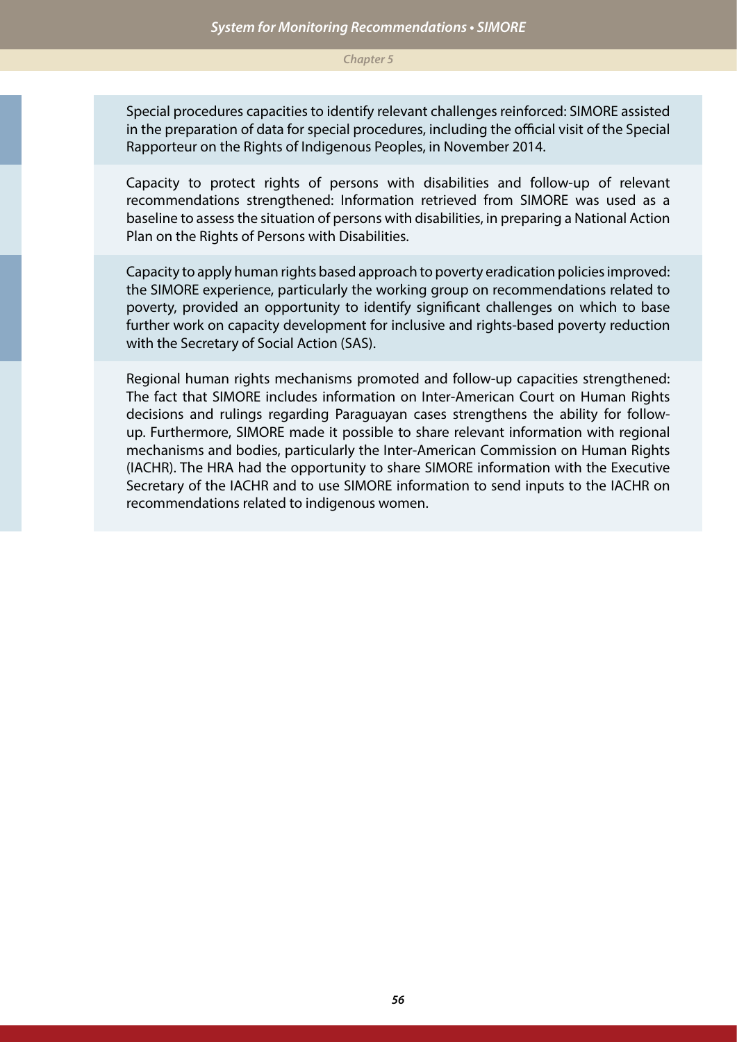Special procedures capacities to identify relevant challenges reinforced: SIMORE assisted in the preparation of data for special procedures, including the official visit of the Special Rapporteur on the Rights of Indigenous Peoples, in November 2014.

Capacity to protect rights of persons with disabilities and follow-up of relevant recommendations strengthened: Information retrieved from SIMORE was used as a baseline to assess the situation of persons with disabilities, in preparing a National Action Plan on the Rights of Persons with Disabilities.

Capacity to apply human rights based approach to poverty eradication policies improved: the SIMORE experience, particularly the working group on recommendations related to poverty, provided an opportunity to identify significant challenges on which to base further work on capacity development for inclusive and rights-based poverty reduction with the Secretary of Social Action (SAS).

Regional human rights mechanisms promoted and follow-up capacities strengthened: The fact that SIMORE includes information on Inter-American Court on Human Rights decisions and rulings regarding Paraguayan cases strengthens the ability for followup. Furthermore, SIMORE made it possible to share relevant information with regional mechanisms and bodies, particularly the Inter-American Commission on Human Rights (IACHR). The HRA had the opportunity to share SIMORE information with the Executive Secretary of the IACHR and to use SIMORE information to send inputs to the IACHR on recommendations related to indigenous women.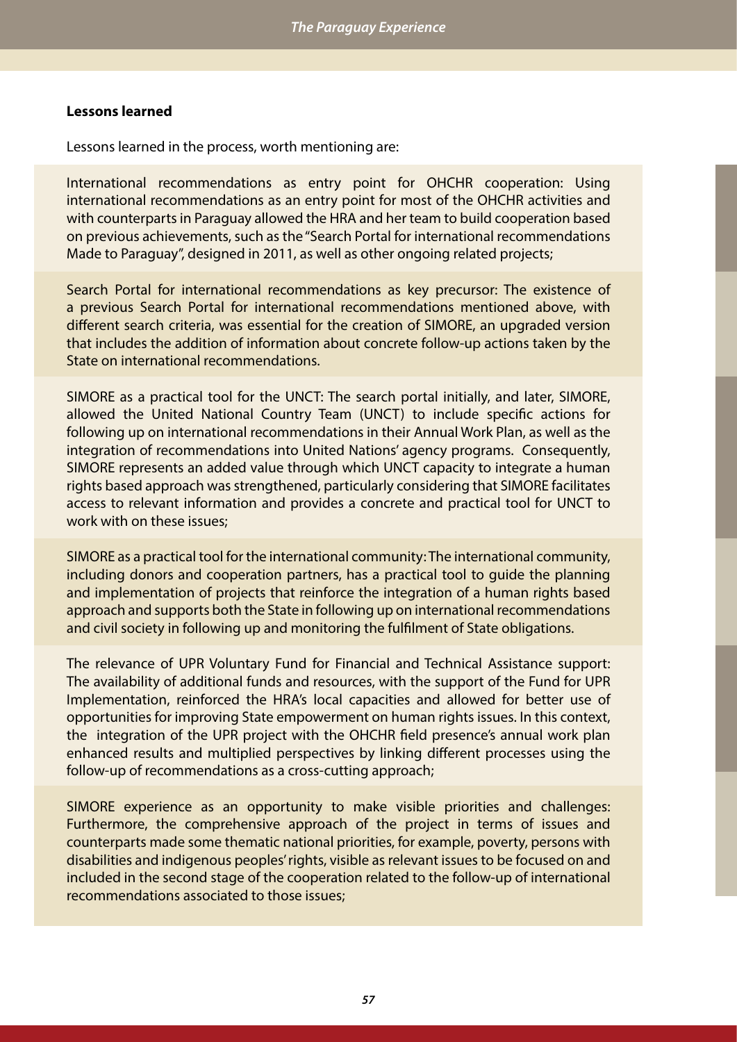#### **Lessons learned**

Lessons learned in the process, worth mentioning are:

International recommendations as entry point for OHCHR cooperation: Using international recommendations as an entry point for most of the OHCHR activities and with counterparts in Paraguay allowed the HRA and her team to build cooperation based on previous achievements, such as the "Search Portal for international recommendations Made to Paraguay", designed in 2011, as well as other ongoing related projects;

Search Portal for international recommendations as key precursor: The existence of a previous Search Portal for international recommendations mentioned above, with different search criteria, was essential for the creation of SIMORE, an upgraded version that includes the addition of information about concrete follow-up actions taken by the State on international recommendations.

SIMORE as a practical tool for the UNCT: The search portal initially, and later, SIMORE, allowed the United National Country Team (UNCT) to include specific actions for following up on international recommendations in their Annual Work Plan, as well as the integration of recommendations into United Nations' agency programs. Consequently, SIMORE represents an added value through which UNCT capacity to integrate a human rights based approach was strengthened, particularly considering that SIMORE facilitates access to relevant information and provides a concrete and practical tool for UNCT to work with on these issues;

SIMORE as a practical tool for the international community: The international community, including donors and cooperation partners, has a practical tool to guide the planning and implementation of projects that reinforce the integration of a human rights based approach and supports both the State in following up on international recommendations and civil society in following up and monitoring the fulfilment of State obligations.

The relevance of UPR Voluntary Fund for Financial and Technical Assistance support: The availability of additional funds and resources, with the support of the Fund for UPR Implementation, reinforced the HRA's local capacities and allowed for better use of opportunities for improving State empowerment on human rights issues. In this context, the integration of the UPR project with the OHCHR field presence's annual work plan enhanced results and multiplied perspectives by linking different processes using the follow-up of recommendations as a cross-cutting approach;

SIMORE experience as an opportunity to make visible priorities and challenges: Furthermore, the comprehensive approach of the project in terms of issues and counterparts made some thematic national priorities, for example, poverty, persons with disabilities and indigenous peoples' rights, visible as relevant issues to be focused on and included in the second stage of the cooperation related to the follow-up of international recommendations associated to those issues;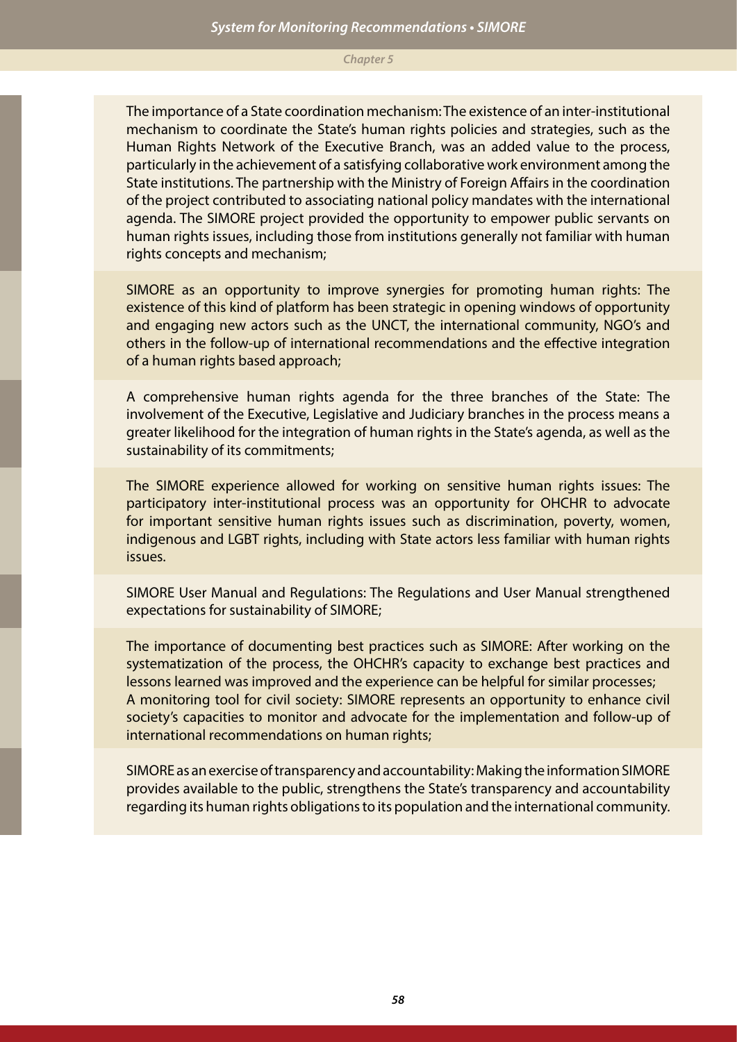The importance of a State coordination mechanism: The existence of an inter-institutional mechanism to coordinate the State's human rights policies and strategies, such as the Human Rights Network of the Executive Branch, was an added value to the process, particularly in the achievement of a satisfying collaborative work environment among the State institutions. The partnership with the Ministry of Foreign Affairs in the coordination of the project contributed to associating national policy mandates with the international agenda. The SIMORE project provided the opportunity to empower public servants on human rights issues, including those from institutions generally not familiar with human rights concepts and mechanism;

SIMORE as an opportunity to improve synergies for promoting human rights: The existence of this kind of platform has been strategic in opening windows of opportunity and engaging new actors such as the UNCT, the international community, NGO's and others in the follow-up of international recommendations and the effective integration of a human rights based approach;

A comprehensive human rights agenda for the three branches of the State: The involvement of the Executive, Legislative and Judiciary branches in the process means a greater likelihood for the integration of human rights in the State's agenda, as well as the sustainability of its commitments;

The SIMORE experience allowed for working on sensitive human rights issues: The participatory inter-institutional process was an opportunity for OHCHR to advocate for important sensitive human rights issues such as discrimination, poverty, women, indigenous and LGBT rights, including with State actors less familiar with human rights issues.

SIMORE User Manual and Regulations: The Regulations and User Manual strengthened expectations for sustainability of SIMORE;

The importance of documenting best practices such as SIMORE: After working on the systematization of the process, the OHCHR's capacity to exchange best practices and lessons learned was improved and the experience can be helpful for similar processes; A monitoring tool for civil society: SIMORE represents an opportunity to enhance civil society's capacities to monitor and advocate for the implementation and follow-up of international recommendations on human rights;

SIMORE as an exercise of transparency and accountability: Making the information SIMORE provides available to the public, strengthens the State's transparency and accountability regarding its human rights obligations to its population and the international community.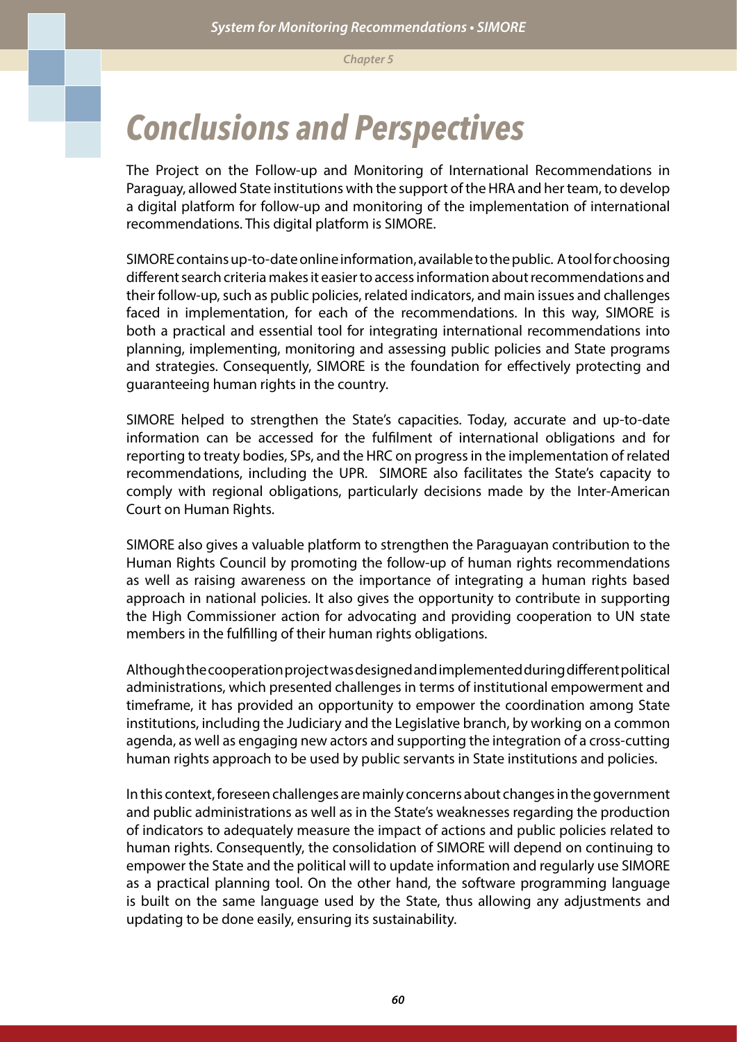# *Conclusions and Perspectives*

The Project on the Follow-up and Monitoring of International Recommendations in Paraguay, allowed State institutions with the support of the HRA and her team, to develop a digital platform for follow-up and monitoring of the implementation of international recommendations. This digital platform is SIMORE.

SIMORE contains up-to-date online information, available to the public. A tool for choosing different search criteria makes it easier to access information about recommendations and their follow-up, such as public policies, related indicators, and main issues and challenges faced in implementation, for each of the recommendations. In this way, SIMORE is both a practical and essential tool for integrating international recommendations into planning, implementing, monitoring and assessing public policies and State programs and strategies. Consequently, SIMORE is the foundation for effectively protecting and guaranteeing human rights in the country.

SIMORE helped to strengthen the State's capacities. Today, accurate and up-to-date information can be accessed for the fulfilment of international obligations and for reporting to treaty bodies, SPs, and the HRC on progress in the implementation of related recommendations, including the UPR. SIMORE also facilitates the State's capacity to comply with regional obligations, particularly decisions made by the Inter-American Court on Human Rights.

SIMORE also gives a valuable platform to strengthen the Paraguayan contribution to the Human Rights Council by promoting the follow-up of human rights recommendations as well as raising awareness on the importance of integrating a human rights based approach in national policies. It also gives the opportunity to contribute in supporting the High Commissioner action for advocating and providing cooperation to UN state members in the fulfilling of their human rights obligations.

Although the cooperation project was designed and implemented during different political administrations, which presented challenges in terms of institutional empowerment and timeframe, it has provided an opportunity to empower the coordination among State institutions, including the Judiciary and the Legislative branch, by working on a common agenda, as well as engaging new actors and supporting the integration of a cross-cutting human rights approach to be used by public servants in State institutions and policies.

In this context, foreseen challenges are mainly concerns about changes in the government and public administrations as well as in the State's weaknesses regarding the production of indicators to adequately measure the impact of actions and public policies related to human rights. Consequently, the consolidation of SIMORE will depend on continuing to empower the State and the political will to update information and regularly use SIMORE as a practical planning tool. On the other hand, the software programming language is built on the same language used by the State, thus allowing any adjustments and updating to be done easily, ensuring its sustainability.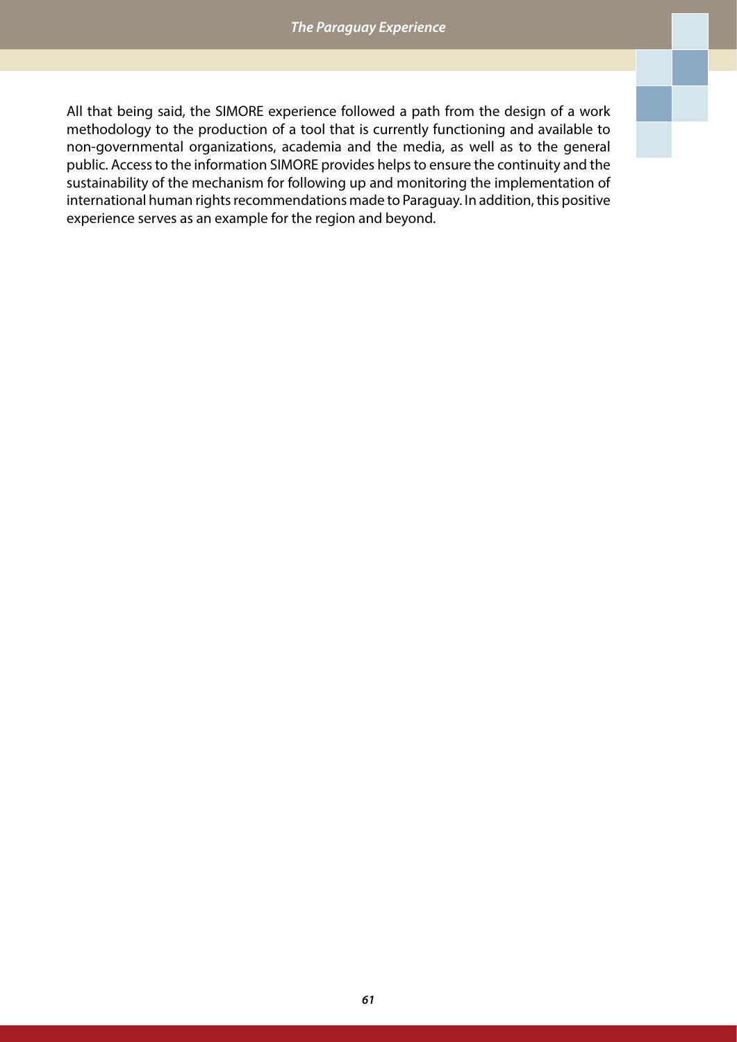All that being said, the SIMORE experience followed a path from the design of a work methodology to the production of a tool that is currently functioning and available to non-governmental organizations, academia and the media, as well as to the general public. Access to the information SIMORE provides helps to ensure the continuity and the sustainability of the mechanism for following up and monitoring the implementation of international human rights recommendations made to Paraguay. In addition, this positive experience serves as an example for the region and beyond.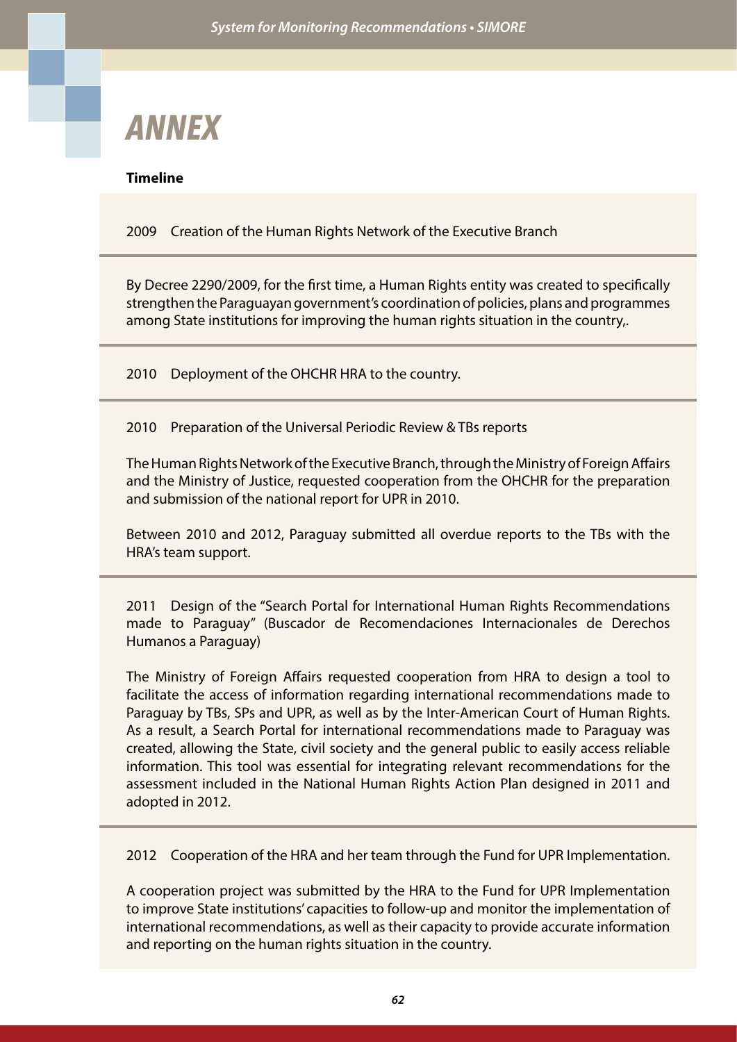### *ANNEX*

#### **Timeline**

2009 Creation of the Human Rights Network of the Executive Branch

By Decree 2290/2009, for the first time, a Human Rights entity was created to specifically strengthen the Paraguayan government's coordination of policies, plans and programmes among State institutions for improving the human rights situation in the country,.

2010 Deployment of the OHCHR HRA to the country.

2010 Preparation of the Universal Periodic Review & TBs reports

The Human Rights Network of the Executive Branch, through the Ministry of Foreign Affairs and the Ministry of Justice, requested cooperation from the OHCHR for the preparation and submission of the national report for UPR in 2010.

Between 2010 and 2012, Paraguay submitted all overdue reports to the TBs with the HRA's team support.

2011 Design of the "Search Portal for International Human Rights Recommendations made to Paraguay" (Buscador de Recomendaciones Internacionales de Derechos Humanos a Paraguay)

The Ministry of Foreign Affairs requested cooperation from HRA to design a tool to facilitate the access of information regarding international recommendations made to Paraguay by TBs, SPs and UPR, as well as by the Inter-American Court of Human Rights. As a result, a Search Portal for international recommendations made to Paraguay was created, allowing the State, civil society and the general public to easily access reliable information. This tool was essential for integrating relevant recommendations for the assessment included in the National Human Rights Action Plan designed in 2011 and adopted in 2012.

2012 Cooperation of the HRA and her team through the Fund for UPR Implementation.

A cooperation project was submitted by the HRA to the Fund for UPR Implementation to improve State institutions' capacities to follow-up and monitor the implementation of international recommendations, as well as their capacity to provide accurate information and reporting on the human rights situation in the country.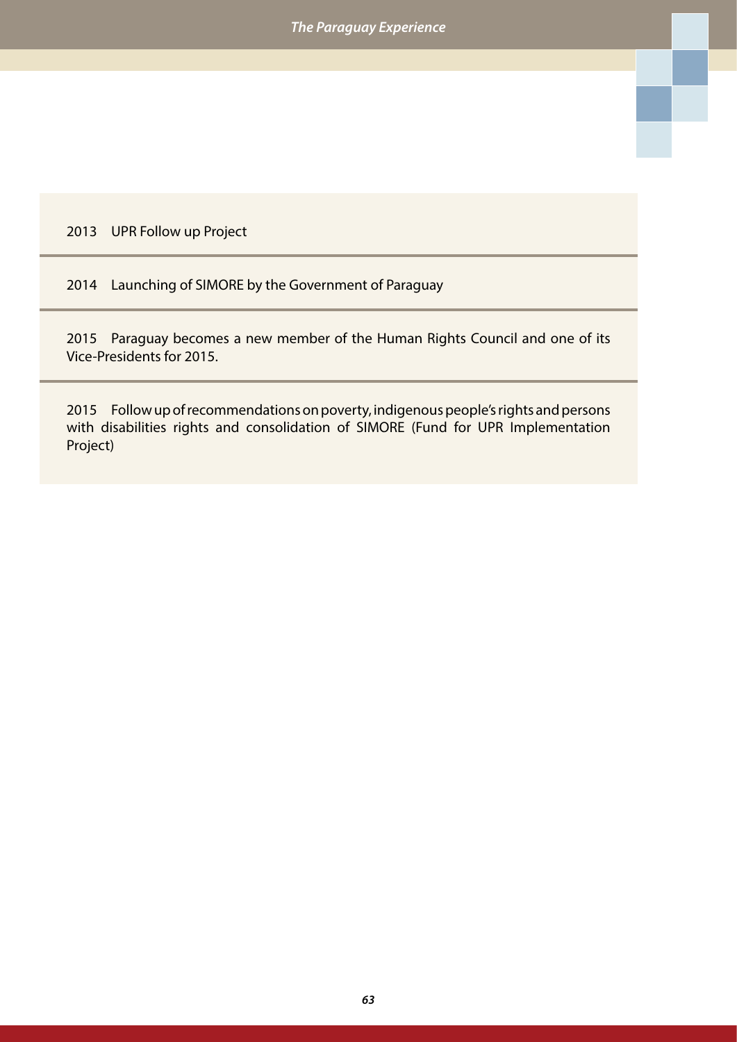2013 UPR Follow up Project

2014 Launching of SIMORE by the Government of Paraguay

2015 Paraguay becomes a new member of the Human Rights Council and one of its Vice-Presidents for 2015.

2015 Follow up of recommendations on poverty, indigenous people's rights and persons with disabilities rights and consolidation of SIMORE (Fund for UPR Implementation Project)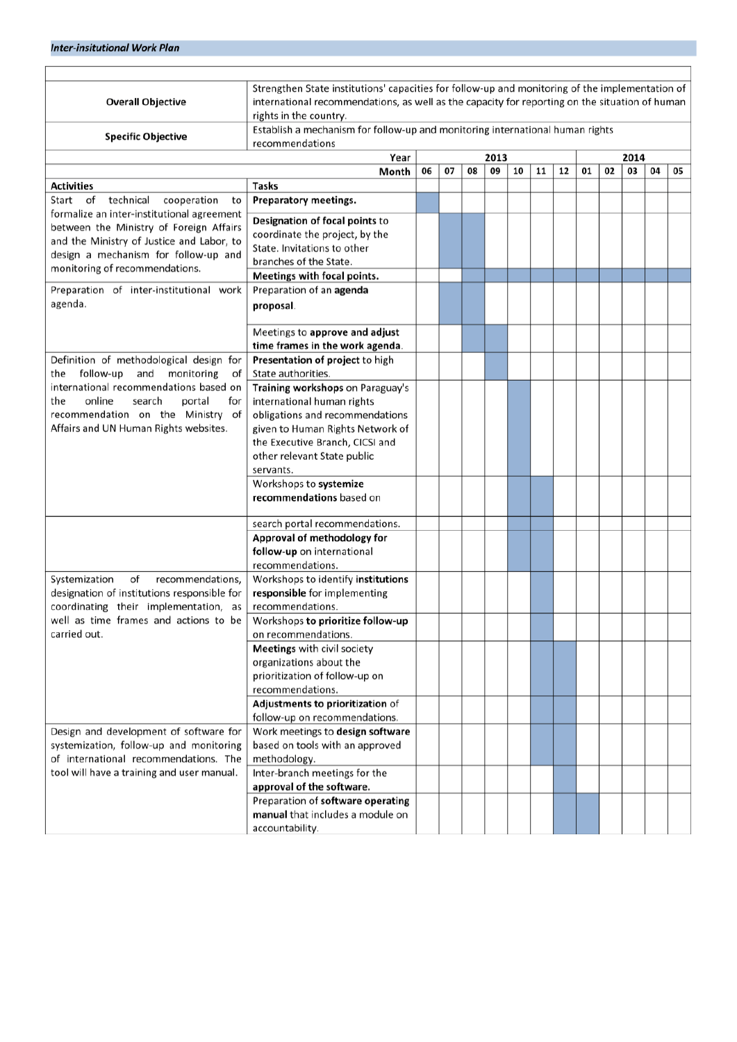$\overline{1}$ 

|                                                                                       | Strengthen State institutions' capacities for follow-up and monitoring of the implementation of |    |    |    |    |    |    |    |    |      |    |    |    |  |  |  |
|---------------------------------------------------------------------------------------|-------------------------------------------------------------------------------------------------|----|----|----|----|----|----|----|----|------|----|----|----|--|--|--|
| <b>Overall Objective</b>                                                              | international recommendations, as well as the capacity for reporting on the situation of human  |    |    |    |    |    |    |    |    |      |    |    |    |  |  |  |
|                                                                                       | rights in the country.                                                                          |    |    |    |    |    |    |    |    |      |    |    |    |  |  |  |
| <b>Specific Objective</b>                                                             | Establish a mechanism for follow-up and monitoring international human rights                   |    |    |    |    |    |    |    |    |      |    |    |    |  |  |  |
|                                                                                       | recommendations                                                                                 |    |    |    |    |    |    |    |    |      |    |    |    |  |  |  |
|                                                                                       | Year<br>2013                                                                                    |    |    |    |    |    |    |    |    | 2014 |    |    |    |  |  |  |
|                                                                                       | Month                                                                                           | 06 | 07 | 08 | 09 | 10 | 11 | 12 | 01 | 02   | 03 | 04 | 05 |  |  |  |
| <b>Activities</b>                                                                     | Tasks                                                                                           |    |    |    |    |    |    |    |    |      |    |    |    |  |  |  |
| technical<br>Start<br>of<br>cooperation<br>to                                         | Preparatory meetings.                                                                           |    |    |    |    |    |    |    |    |      |    |    |    |  |  |  |
| formalize an inter-institutional agreement<br>between the Ministry of Foreign Affairs | Designation of focal points to                                                                  |    |    |    |    |    |    |    |    |      |    |    |    |  |  |  |
|                                                                                       | coordinate the project, by the                                                                  |    |    |    |    |    |    |    |    |      |    |    |    |  |  |  |
| and the Ministry of Justice and Labor, to<br>design a mechanism for follow-up and     | State. Invitations to other                                                                     |    |    |    |    |    |    |    |    |      |    |    |    |  |  |  |
| monitoring of recommendations.                                                        | branches of the State.                                                                          |    |    |    |    |    |    |    |    |      |    |    |    |  |  |  |
|                                                                                       | Meetings with focal points.                                                                     |    |    |    |    |    |    |    |    |      |    |    |    |  |  |  |
| Preparation of inter-institutional work                                               | Preparation of an agenda                                                                        |    |    |    |    |    |    |    |    |      |    |    |    |  |  |  |
| agenda.                                                                               | proposal.                                                                                       |    |    |    |    |    |    |    |    |      |    |    |    |  |  |  |
|                                                                                       |                                                                                                 |    |    |    |    |    |    |    |    |      |    |    |    |  |  |  |
|                                                                                       | Meetings to approve and adjust                                                                  |    |    |    |    |    |    |    |    |      |    |    |    |  |  |  |
|                                                                                       | time frames in the work agenda.                                                                 |    |    |    |    |    |    |    |    |      |    |    |    |  |  |  |
| Definition of methodological design for                                               | Presentation of project to high                                                                 |    |    |    |    |    |    |    |    |      |    |    |    |  |  |  |
| follow-up<br>and<br>monitoring<br>the<br>of                                           | State authorities.                                                                              |    |    |    |    |    |    |    |    |      |    |    |    |  |  |  |
| international recommendations based on                                                | Training workshops on Paraguay's                                                                |    |    |    |    |    |    |    |    |      |    |    |    |  |  |  |
| online<br>search<br>the<br>portal<br>for                                              | international human rights                                                                      |    |    |    |    |    |    |    |    |      |    |    |    |  |  |  |
| recommendation on the Ministry of                                                     | obligations and recommendations                                                                 |    |    |    |    |    |    |    |    |      |    |    |    |  |  |  |
| Affairs and UN Human Rights websites.                                                 | given to Human Rights Network of                                                                |    |    |    |    |    |    |    |    |      |    |    |    |  |  |  |
|                                                                                       | the Executive Branch, CICSI and                                                                 |    |    |    |    |    |    |    |    |      |    |    |    |  |  |  |
|                                                                                       | other relevant State public                                                                     |    |    |    |    |    |    |    |    |      |    |    |    |  |  |  |
|                                                                                       | servants.                                                                                       |    |    |    |    |    |    |    |    |      |    |    |    |  |  |  |
|                                                                                       | Workshops to systemize                                                                          |    |    |    |    |    |    |    |    |      |    |    |    |  |  |  |
|                                                                                       | recommendations based on                                                                        |    |    |    |    |    |    |    |    |      |    |    |    |  |  |  |
|                                                                                       | search portal recommendations.                                                                  |    |    |    |    |    |    |    |    |      |    |    |    |  |  |  |
|                                                                                       | Approval of methodology for                                                                     |    |    |    |    |    |    |    |    |      |    |    |    |  |  |  |
|                                                                                       | follow-up on international                                                                      |    |    |    |    |    |    |    |    |      |    |    |    |  |  |  |
|                                                                                       | recommendations.                                                                                |    |    |    |    |    |    |    |    |      |    |    |    |  |  |  |
| of<br>Systemization<br>recommendations,                                               | Workshops to identify institutions                                                              |    |    |    |    |    |    |    |    |      |    |    |    |  |  |  |
| designation of institutions responsible for                                           | responsible for implementing                                                                    |    |    |    |    |    |    |    |    |      |    |    |    |  |  |  |
| coordinating their implementation, as                                                 | recommendations.                                                                                |    |    |    |    |    |    |    |    |      |    |    |    |  |  |  |
| well as time frames and actions to be                                                 | Workshops to prioritize follow-up                                                               |    |    |    |    |    |    |    |    |      |    |    |    |  |  |  |
| carried out.                                                                          | on recommendations.                                                                             |    |    |    |    |    |    |    |    |      |    |    |    |  |  |  |
|                                                                                       | <b>Meetings</b> with civil society                                                              |    |    |    |    |    |    |    |    |      |    |    |    |  |  |  |
|                                                                                       | organizations about the                                                                         |    |    |    |    |    |    |    |    |      |    |    |    |  |  |  |
|                                                                                       | prioritization of follow-up on                                                                  |    |    |    |    |    |    |    |    |      |    |    |    |  |  |  |
|                                                                                       | recommendations.                                                                                |    |    |    |    |    |    |    |    |      |    |    |    |  |  |  |
|                                                                                       | Adjustments to prioritization of                                                                |    |    |    |    |    |    |    |    |      |    |    |    |  |  |  |
|                                                                                       | follow-up on recommendations.                                                                   |    |    |    |    |    |    |    |    |      |    |    |    |  |  |  |
| Design and development of software for                                                | Work meetings to design software                                                                |    |    |    |    |    |    |    |    |      |    |    |    |  |  |  |
| systemization, follow-up and monitoring                                               | based on tools with an approved                                                                 |    |    |    |    |    |    |    |    |      |    |    |    |  |  |  |
| of international recommendations. The                                                 | methodology.                                                                                    |    |    |    |    |    |    |    |    |      |    |    |    |  |  |  |
| tool will have a training and user manual.                                            | Inter-branch meetings for the                                                                   |    |    |    |    |    |    |    |    |      |    |    |    |  |  |  |
|                                                                                       | approval of the software.                                                                       |    |    |    |    |    |    |    |    |      |    |    |    |  |  |  |
|                                                                                       | Preparation of software operating                                                               |    |    |    |    |    |    |    |    |      |    |    |    |  |  |  |
|                                                                                       | manual that includes a module on                                                                |    |    |    |    |    |    |    |    |      |    |    |    |  |  |  |
|                                                                                       | accountability.                                                                                 |    |    |    |    |    |    |    |    |      |    |    |    |  |  |  |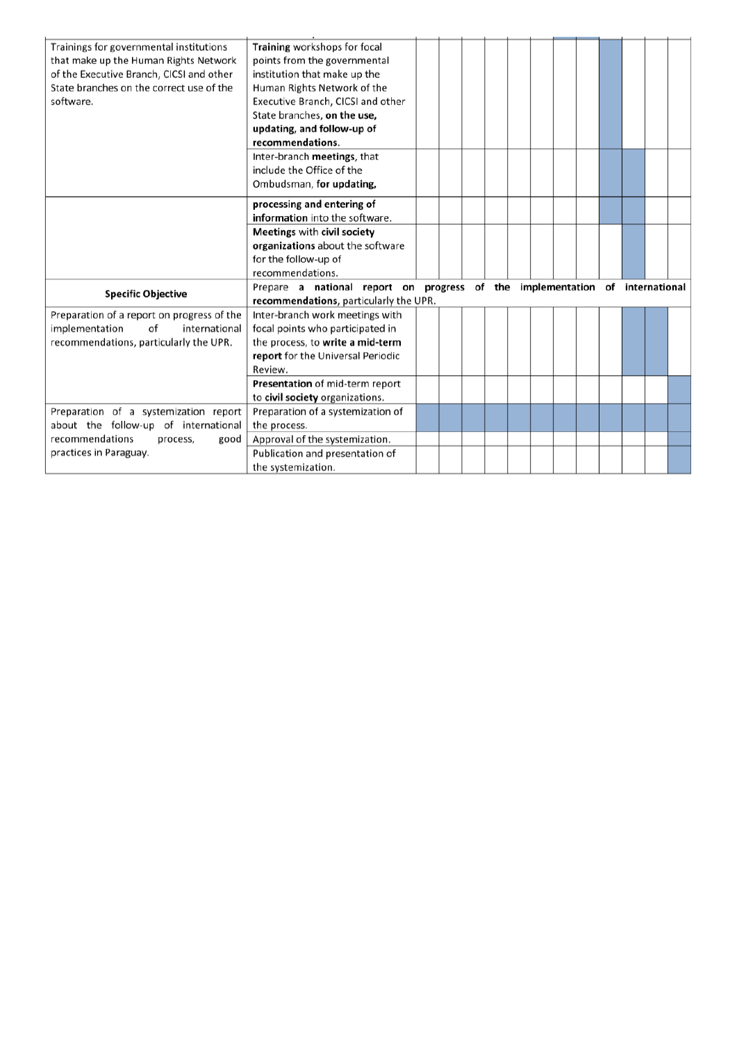| Trainings for governmental institutions    | Training workshops for focal                                                 |  |  |  |  |  |  |
|--------------------------------------------|------------------------------------------------------------------------------|--|--|--|--|--|--|
| that make up the Human Rights Network      | points from the governmental                                                 |  |  |  |  |  |  |
| of the Executive Branch, CICSI and other   | institution that make up the                                                 |  |  |  |  |  |  |
| State branches on the correct use of the   | Human Rights Network of the                                                  |  |  |  |  |  |  |
| software.                                  | Executive Branch, CICSI and other                                            |  |  |  |  |  |  |
|                                            | State branches, on the use,                                                  |  |  |  |  |  |  |
|                                            | updating, and follow-up of                                                   |  |  |  |  |  |  |
|                                            | recommendations.                                                             |  |  |  |  |  |  |
|                                            | Inter-branch meetings, that                                                  |  |  |  |  |  |  |
|                                            | include the Office of the                                                    |  |  |  |  |  |  |
|                                            | Ombudsman, for updating,                                                     |  |  |  |  |  |  |
|                                            | processing and entering of                                                   |  |  |  |  |  |  |
|                                            | information into the software.                                               |  |  |  |  |  |  |
|                                            | Meetings with civil society                                                  |  |  |  |  |  |  |
|                                            | organizations about the software                                             |  |  |  |  |  |  |
|                                            |                                                                              |  |  |  |  |  |  |
|                                            |                                                                              |  |  |  |  |  |  |
|                                            | for the follow-up of                                                         |  |  |  |  |  |  |
|                                            | recommendations.                                                             |  |  |  |  |  |  |
|                                            | Prepare a national report on progress of the implementation of international |  |  |  |  |  |  |
| <b>Specific Objective</b>                  | recommendations, particularly the UPR.                                       |  |  |  |  |  |  |
| Preparation of a report on progress of the | Inter-branch work meetings with                                              |  |  |  |  |  |  |
| implementation<br>of<br>international      | focal points who participated in                                             |  |  |  |  |  |  |
| recommendations, particularly the UPR.     | the process, to write a mid-term                                             |  |  |  |  |  |  |
|                                            | report for the Universal Periodic                                            |  |  |  |  |  |  |
|                                            | Review.                                                                      |  |  |  |  |  |  |
|                                            | Presentation of mid-term report                                              |  |  |  |  |  |  |
|                                            | to civil society organizations.                                              |  |  |  |  |  |  |
| Preparation of a systemization report      | Preparation of a systemization of                                            |  |  |  |  |  |  |
| about the follow-up of international       | the process.                                                                 |  |  |  |  |  |  |
| recommendations<br>process,<br>good        | Approval of the systemization.                                               |  |  |  |  |  |  |
| practices in Paraguay.                     | Publication and presentation of                                              |  |  |  |  |  |  |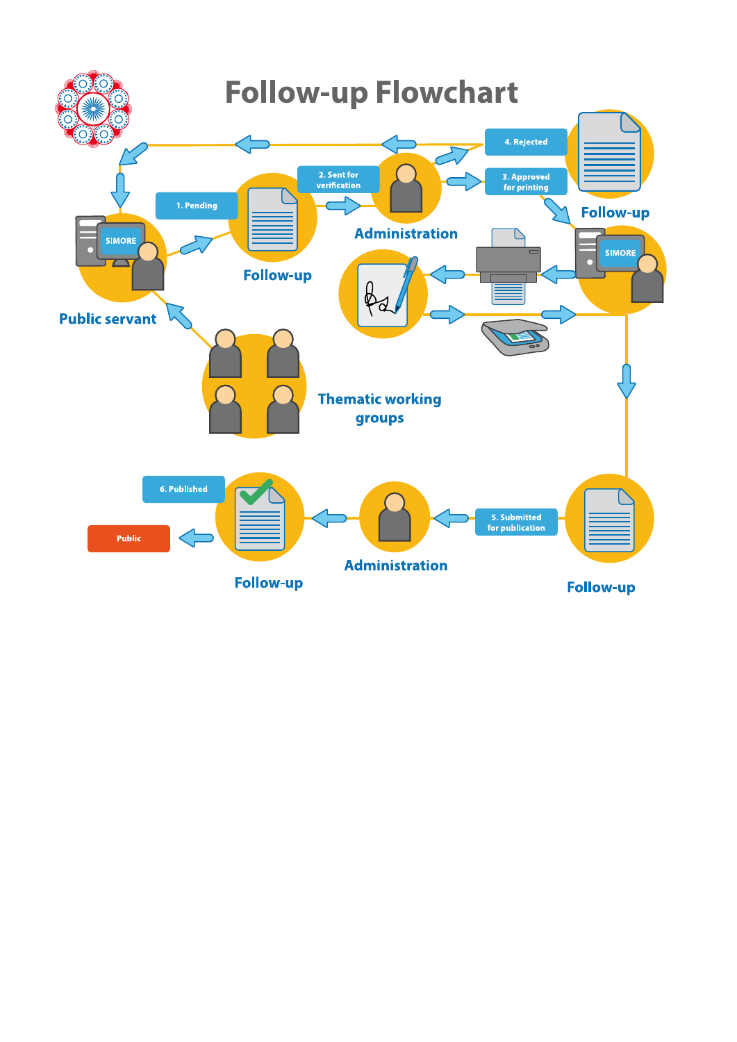